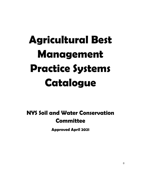# **Agricultural Best Management Practice Systems Catalogue**

# **NYS Soil and Water Conservation Committee**

**Approved April 2021**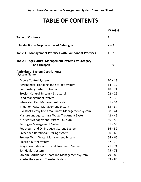# **TABLE OF CONTENTS**

|                                                                       | Page(s)      |
|-----------------------------------------------------------------------|--------------|
| <b>Table of Contents</b>                                              | $\mathbf{1}$ |
| Introduction - Purpose - Use of Catalogue                             | $2 - 3$      |
| Table 1 – Management Practices with Component Practices               | $4 - 7$      |
| Table 2 - Agricultural Management Systems by Category<br>and Lifespan | $8 - 9$      |
| <b>Agricultural System Descriptions:</b><br><b>System Name</b>        |              |
| <b>Access Control System</b>                                          | $10 - 13$    |
| Agrichemical Handling and Storage System                              | $14 - 17$    |
| Composting System - Animal                                            | $18 - 21$    |
| Erosion Control System - Structural                                   | $22 - 26$    |
| <b>Feed Management System</b>                                         | $27 - 30$    |
| Integrated Pest Management System                                     | $31 - 34$    |
| <b>Irrigation Water Management System</b>                             | $35 - 37$    |
| Livestock Heavy Use Area Runoff Management System                     | $38 - 41$    |
| Manure and Agricultural Waste Treatment System                        | $42 - 45$    |
| Nutrient Management System - Cultural                                 | $46 - 50$    |
| Pathogen Management System                                            | $51 - 55$    |
| Petroleum and Oil Products Storage System                             | $56 - 59$    |
| <b>Prescribed Rotational Grazing System</b>                           | $60 - 63$    |
| Process Wash Water Management System                                  | $64 - 66$    |
| <b>Riparian Buffer System</b>                                         | $67 - 70$    |
| Silage Leachate Control and Treatment System                          | $71 - 74$    |
| Soil Health System                                                    | $75 - 78$    |
| <b>Stream Corridor and Shoreline Management System</b>                | $79 - 82$    |
| Waste Storage and Transfer System                                     | $83 - 86$    |
|                                                                       |              |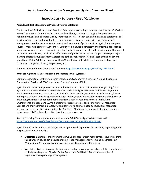# **Introduction – Purpose – Use of Catalogue**

#### **Agricultural Best Management Practice Systems Catalogue**

The Agricultural Best Management Practices Catalogue was developed and approved by the NYS Soil and Water Conservation Committee in 2014 to replace The Agricultural Catalog for Nonpoint Source Pollution Prevention and Water Quality Protection in NYS. This revised and maintained catalogue shall provide guidance during the watershed planning process to select appropriate agricultural best management practice systems for the control and treatment of pollutants from agricultural nonpoint sources. Utilizing a complete Agricultural BMP System ensures a consistent and effective approach to addressing resource concerns, provides levels of protection and benefits to the environment that partial systems may not deliver, results in an effective use of public resources, and supports the reporting and planning efforts throughout many watersheds both entirely within NYS and those extending beyond (e.g., Clean Water Act 303(d) Programs, Clean Water Plans, and TMDLs for Chesapeake Bay, Lake Champlain, Long Island Sound, Finger Lakes, etc).

For more information on Clean Water Planning:<https://www.dec.ny.gov/chemical/23835.html>

#### **What are Agricultural Best Management Practice (BMP) Systems?**

Complete Agricultural BMP Systems may include one, two, or even a series of National Resources Conservation Service (NRCS) Conservation Practice Standards (CPS).

Agricultural BMP Systems prevent or reduce the source or transport of substances originating from agricultural activities which may adversely affect surface and ground waters. While a management practice system can have standards associated with its installation, operation or maintenance, it does not impose effluent limits for specific pollutants. Rather, it provides an effective means of reducing or preventing the impact of nonpoint pollutants from a specific resource concern. Agricultural Environmental Management (AEM) is a framework created to assist Soil and Water Conservation Districts and their partners in developing and delivering a science-based agricultural conservation program based on local priorities and goals. A 5-Tiered AEM planning approach identifies resource concerns and BMP system alternatives to address those concerns.

See the following for more information about the AEM 5-Tiered Approach to conservation: <https://agriculture.ny.gov/soil-and-water/agricultural-environmental-management>

Agricultural BMP Systems can be categorized as operational, vegetative, or structural, depending upon purpose, function, and design.

- **Operational Systems**: are systems that involve changes in farm management, usually resulting in a change in day-to-day decision making. Feed Management System and Integrated Pest Management System are examples of operational management practices.
- **Vegetative Systems**: increase the amount of herbaceous and/or woody vegetation on a field or critically eroding area. Riparian Buffer System and Soil Health System are examples of vegetative management practice systems.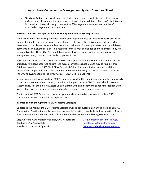• **Structural Systems**: are usually practices that require engineering design, and often control surface runoff, the primary transporter of most agricultural pollutants. Erosion Control System Structural and Livestock Heavy Use Area Runoff Management Systems are examples of structural management practice systems.

#### **Resource Concerns and Agricultural Best Management Practice (BMP) Systems**

The AEM Planning Process requires each individual management area or resource concern area to be clearly identified, assessed / evaluated, and planned as its own entity; this approach allows each of these areas to be planned as a complete system on their own. For example: a farm with two different barnyards, each evaluated as a possible resource concern, may be planned and further treated by two separate Livestock Heavy Use Are Runoff Management Systems, each System unique to its own management area, considerations, and Component BMPs.

Agricultural BMP Systems and Component BMPs are expressed in unique measurable quantities and units (e.g., number, linear feet, square feet, acres); correct measurable units may be found in this Catalogue as well as the NRCS Field Office Technical Guide. Further unit descriptors in addition to required NRCS reportable units are acceptable and often beneficial (e.g., (Waste Transfer (CPS 634) - 1 NO, 100 ft), (Waste Storage Facility (CPS 313) – 1 NO, 2 Million Gallons)).

In some cases, multiple Agricultural BMP Systems may work within or adjacent one another to properly control and treat a resource concern; scenarios utilizing two or more BMP Systems should have each System listed. For example: An Access Control System with an adjacent and supporting Riparian Buffer System, both Systems used in conjunction to address one or more resource concerns.

The Agricultural BMP Catalogue is not a design manual and should not be used to replace NRCS Conservation Practice Standards and Specifications.

#### **Interacting with the Agricultural BMP Systems Catalogue**

Updates to the Agricultural BMP Systems Catalogue will be conducted on an annual basis or as NRCS Conservation Practice Standards change and/or new information is available for incorporation. Please direct questions about content and application of this directory to the following NYS SWCC Staff:

Greg Albrecht, AEM Program Manager, CNMP Specialist: Greg.Albrecht@agriculture.ny.gov Ron Bush, CNMP Specialist:  $\blacksquare$  Ronald.Bush@agriculture.ny.gov Brendan Jordan, CNMP Specialist: [Brendan.Jordan@agriculture.ny.gov](mailto:Brendan.Jordan@agriculture.ny.gov)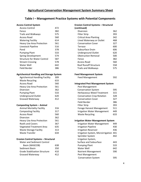# **Table I – Management Practice Systems with Potential Components**

| <b>Access Control System</b>                    |     |
|-------------------------------------------------|-----|
| <b>Access Control</b>                           | 472 |
| Fence                                           | 382 |
| <b>Trails and Walkways</b>                      | 575 |
| <b>Access Road</b>                              | 560 |
| <b>Watering Facility</b>                        | 614 |
| <b>Heavy Use Area Protection</b>                | 561 |
| Livestock Pipeline                              | 516 |
| Pond                                            | 378 |
| <b>Pumping Plant</b>                            | 533 |
| <b>Spring Development</b>                       | 574 |
| <b>Structure for Water Control</b>              | 587 |
| <b>Stream Crossing</b>                          | 578 |
| <b>Water Well</b>                               | 642 |
| <b>Field Border</b>                             | 386 |
| <b>Agrichemical Handling and Storage System</b> |     |
| <b>Agrichemical Handling Facility</b>           | 309 |
| <b>Waste Recycling</b>                          | 633 |
| <b>Access Road</b>                              | 560 |
| <b>Heavy Use Area Protection</b>                | 561 |
| Diversion                                       | 362 |
| <b>Pumping Plant</b>                            | 533 |
| <b>Underground Outlet</b>                       | 620 |
| <b>Grassed Waterway</b>                         | 412 |
| <b>Composting System - Animal</b>               |     |
| <b>Animal Mortality Facility</b>                | 316 |
| <b>Composting Facility</b>                      | 317 |
| <b>Access Road</b>                              | 560 |
| Diversion                                       | 362 |
| Heavy Use Area Protection                       | 561 |
| <b>Roofs and Covers</b>                         | 367 |
| Vegetated Treatment Area                        | 635 |
| <b>Waste Storage Facility</b>                   | 313 |
| <b>Waste Transfer</b>                           | 634 |
| <b>Erosion Control Systems - Structural</b>     |     |
| <b>Water and Sediment Control</b>               |     |
| Basin (WASCOB)                                  | 638 |
| Sediment Basin                                  | 350 |
| <b>Grade Stabilization Structure</b>            | 410 |
| <b>Grassed Waterway</b>                         | 412 |

| <b>Erosion Control Systems - Structural</b><br>(continued) |     |
|------------------------------------------------------------|-----|
| Diversion                                                  | 362 |
| <b>Filter Strip</b>                                        | 393 |
| <b>Critical Area Planting</b>                              | 342 |
| Lined Waterway or Outlet                                   | 468 |
| <b>Conservation Cover</b>                                  | 327 |
| Terrace                                                    | 600 |
| Subsurface Drain                                           | 606 |
| <b>Underground Outlet</b>                                  | 620 |
| <b>Obstruction Removal</b>                                 | 500 |
| Fence                                                      | 382 |
| <b>Access Road</b>                                         | 560 |
| Roof Runoff Structure                                      | 558 |
| Trails and Walkways                                        | 575 |
| <b>Feed Management System</b>                              |     |
| <b>Feed Management</b>                                     | 592 |
| <b>Integrated Pest Management System</b>                   |     |
| Pest Management                                            |     |
| <b>Conservation System</b>                                 | 595 |
| <b>Herbaceous Weed Treatment</b>                           | 315 |
| <b>Conservation Crop Rotation</b>                          | 328 |
| <b>Conservation Cover</b>                                  | 327 |
| Field Border                                               | 386 |
| <b>Filter Strip</b>                                        | 393 |
| Forage Harvest Management                                  | 511 |
| <b>Irrigation Water Management</b>                         | 449 |
| <b>Waste Recycling</b>                                     | 633 |
| <b>Irrigation Water Management System</b>                  |     |
| <b>Irrigation Water Management</b>                         | 449 |
| <b>Irrigation Pipeline</b>                                 | 430 |
| <b>Irrigation Reservoir</b>                                | 436 |
| Irrigation System, Microirrigation                         | 441 |
| Sprinkler System                                           | 442 |
| Irrigation System,                                         |     |
| Surface and Subsurface                                     | 443 |
| <b>Pumping Plant</b>                                       | 533 |
| Water Well                                                 | 642 |
| <b>Nutrient Management</b>                                 | 590 |
| Pest Management                                            |     |
| <b>Conservation System</b>                                 | 595 |
|                                                            |     |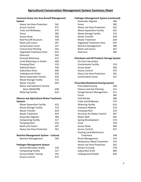#### **Livestock Heavy Use Area Runoff Management System**

| <b>Heavy Use Area Protection</b>  | 561 |
|-----------------------------------|-----|
| <b>Access Control</b>             | 472 |
| <b>Trails and Walkways</b>        | 575 |
| Fence                             | 382 |
| Access Road                       | 560 |
| <b>Roof Runoff Structure</b>      | 558 |
| Roofs and Covers                  | 367 |
| <b>Conservation Cover</b>         | 327 |
| <b>Critical Area Planting</b>     | 342 |
| <b>Vegetated Treatment Area</b>   | 635 |
| Diversion                         | 362 |
| Grassed Waterway                  | 412 |
| Lined Waterway or Outlet          | 468 |
| <b>Pumping Plant</b>              | 533 |
| <b>Sediment Basin</b>             | 350 |
| Subsurface Drain                  | 606 |
| <b>Underground Outlet</b>         | 620 |
| <b>Waste Separation Facility</b>  | 632 |
| <b>Waste Storage Facility</b>     | 313 |
| Waste Transfer                    | 634 |
| <b>Water and Sediment Control</b> |     |
| Basin (WASCOB)                    | 638 |
| <b>Watering Facility</b>          | 614 |

#### **Manure and Agricultural Waste Treatment Systems**

| <b>Waste Separation Facility</b>      | 632 |
|---------------------------------------|-----|
| <b>Waste Storage Facility</b>         | 313 |
| Waste Transfer                        | 634 |
| Waste Treatment                       | 629 |
| Anaerobic Digester                    | 366 |
| <b>Composting Facility</b>            | 317 |
| <b>Pumping Plant</b>                  | 533 |
| <b>Roofs and Covers</b>               | 367 |
| <b>Heavy Use Area Protection</b>      | 561 |
| Nutrient Management System - Cultural |     |
| <b>Nutrient Management</b>            | 590 |
| <b>Pathogen Management System</b>     |     |
| <b>Animal Mortality Facility</b>      | 316 |
| <b>Composting Facility</b>            | 317 |

Ground Water Testing 355 Access Control **472** 

# **Pathogen Management System (continued)** Anaerobic Digester 366 Fence 382 Heavy Use Area Protection 561 Waste Separation Facility 632 Waste Storage Facility 313 Waste Transfer 634 Waste Treatment 629 Vegetated Treatment Area 635 Nutrient Management 590 Roofs and Covers 367 Diversion 362 **Petroleum and Oil Products Storage System** On-Farm Secondary Containment Facility 319 Access Road 560 Access Control **472** Heavy Use Area Protection 561 Conservation Cover 327 **Prescribed Rotational Grazing System** Prescribed Grazing 528 Pasture and Hay Planting 512 Forage Harvest Management 511 Fence 382 Field Border 386 Trails and Walkways 575 Watering Facility 614 Livestock Pipeline 516 Pumping Plant 533 Structure for Water Control 587 Water Well 642 Spring Development 574 Pond 378 Access Road 560 Access Control 472 Grazing Land Mechanical Treatment 548 Brush Management 314 Herbaceous Weed Treatment 315 Heavy Use Area Protection 561 Stream Crossing 578 Subsurface Drain 606 Underground Outlet 620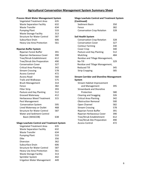| <b>Process Wash Water Management System</b>         |     |
|-----------------------------------------------------|-----|
| <b>Vegetated Treatment Area</b>                     | 635 |
| <b>Waste Separation Facility</b>                    | 632 |
| <b>Waste Transfer</b>                               | 634 |
| <b>Pumping Plant</b>                                | 533 |
| <b>Waste Storage Facility</b>                       | 313 |
| <b>Structure for Water Control</b>                  | 587 |
| Subsurface Drain                                    | 606 |
| <b>Heavy Use Area Protection</b>                    | 561 |
| <b>Riparian Buffer System</b>                       |     |
| Riparian Forest Buffer                              | 391 |
| Riparian Herbaceous Cover                           | 390 |
| Tree/Shrub Establishment                            | 612 |
| Tree/Shrub Site Preparation                         | 490 |
| <b>Conservation Cover</b>                           | 327 |
| <b>Critical Area Planting</b>                       | 342 |
| <b>Stream Crossing</b>                              | 578 |
| <b>Access Control</b>                               | 472 |
| <b>Access Road</b>                                  | 560 |
| <b>Trails and Walkways</b>                          | 575 |
| <b>Brush Management</b>                             | 314 |
| Fence                                               | 382 |
| <b>Filter Strip</b>                                 | 393 |
| Pasture and Hay Planting                            | 512 |
| <b>Grassed Waterway</b>                             | 412 |
| <b>Herbaceous Weed Treatment</b>                    | 315 |
| Pest Management                                     |     |
| <b>Conservation System</b>                          | 595 |
| Lined Waterway or Outlet                            | 468 |
| <b>Structure for Water Control</b>                  | 587 |
| <b>Water and Sediment Control</b>                   |     |
| Basin (WASCOB)                                      | 638 |
| <b>Silage Leachate Control and Treatment System</b> |     |
| <b>Vegetated Treatment Area</b>                     | 635 |
| <b>Waste Separation Facility</b>                    | 632 |
| <b>Waste Transfer</b>                               | 634 |
| <b>Pumping Plant</b>                                | 533 |
| <b>Dike</b>                                         | 356 |
| Diversion                                           | 362 |
| Subsurface Drain                                    | 606 |
| <b>Structure for Water Control</b>                  | 587 |
| <b>Heavy Use Area Protection</b>                    | 561 |
| <b>Waste Storage Facility</b>                       | 313 |
| Sprinkler System                                    | 442 |
| <b>Irrigation Water Management</b>                  | 449 |

| <b>Silage Leachate Control and Treatment System</b> |     |
|-----------------------------------------------------|-----|
| (Continued)                                         |     |
| Sediment Basin                                      | 350 |
| Fence                                               | 382 |
| <b>Conservation Crop Rotation</b>                   | 328 |
| <b>Soil Health System</b>                           |     |
| <b>Conservation Crop Rotation</b>                   | 328 |
| <b>Conservation Cover</b>                           | 327 |
| <b>Contour Farming</b>                              | 330 |
| Cover Crop                                          | 340 |
| Pasture and Hay Planting                            | 512 |
| Mulching                                            | 484 |
| Residue and Tillage Management,                     |     |
| No-Till                                             | 329 |
| Residue and Tillage Management,                     |     |
| <b>Reduced Till</b>                                 | 345 |
| <b>Strip Cropping</b>                               | 585 |
| <b>Stream Corridor and Shoreline Management</b>     |     |
| <b>System</b>                                       |     |
| <b>Stream Habitat Improvement</b>                   |     |
| and Management                                      | 395 |
| <b>Streambank and Shoreline</b>                     |     |
| Protection                                          | 580 |
| <b>Clearing and Snagging</b>                        | 326 |
| <b>Critical Area Planting</b>                       | 342 |
| <b>Obstruction Removal</b>                          | 500 |
| Open Channel                                        | 582 |
| <b>Stream Crossing</b>                              | 578 |
| Riparian Forest Buffer                              | 391 |
| Riparian Herbaceous Cover                           | 390 |
| Tree/Shrub Establishment                            | 612 |
| <b>Tree/Shrub Site Preparation</b>                  | 490 |
| <b>Access Control</b>                               | 472 |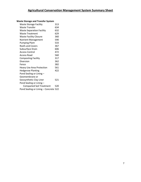#### **Waste Storage and Transfer System**

| <b>Waste Storage Facility</b>         | 313 |
|---------------------------------------|-----|
| <b>Waste Transfer</b>                 | 634 |
| <b>Waste Separation Facility</b>      | 632 |
| <b>Waste Treatment</b>                | 629 |
| <b>Waste Facility Closure</b>         | 360 |
| <b>Nutrient Management</b>            | 590 |
| <b>Pumping Plant</b>                  | 533 |
| <b>Roofs and Covers</b>               | 367 |
| Subsurface Drain                      | 606 |
| Access Control                        | 472 |
| Access Road                           | 560 |
| <b>Composting Facility</b>            | 317 |
| Diversion                             | 362 |
| Fence                                 | 382 |
| <b>Heavy Use Area Protection</b>      | 561 |
| <b>Hedgerow Planting</b>              | 422 |
| Pond Sealing or Lining -              |     |
| Geomembrane or                        |     |
| Geosynthetic Clay Liner               | 521 |
| Pond Sealing or Lining -              |     |
| <b>Compacted Soil Treatment</b>       | 520 |
| Pond Sealing or Lining - Concrete 522 |     |
|                                       |     |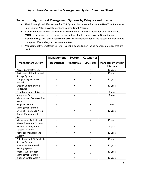# **Table II. Agricultural Management Systems by Category and Lifespan**

- The following listed lifespans are for BMP Systems implemented under the New York State Non-Point Source Pollution Abatement and Control Grant Program.
- Management System Lifespan indicates the minimum term that Operation and Maintenance **MUST** be performed on the management system. Implementation of an Operation and Maintenance (O&M) plan is required to assure efficient operation of the system and may extend the system lifespan beyond the minimum term.
- Management System Design Criteria is variable depending on the component practices that are used.

|                               | <b>Management</b>  | System     | <b>Categories</b> |                          |
|-------------------------------|--------------------|------------|-------------------|--------------------------|
| <b>Management System</b>      | <b>Operational</b> | Vegetative | <b>Structural</b> | <b>Management System</b> |
|                               |                    |            |                   | Lifespan                 |
| <b>Access Control System</b>  | $\bullet$          | $\bullet$  | $\bullet$         | 10 years                 |
| Agrichemical Handling and     |                    |            |                   | 10 years                 |
| <b>Storage System</b>         |                    |            |                   |                          |
| Composting System -           |                    | $\bullet$  |                   | 10 years                 |
| Animal                        |                    |            |                   |                          |
| Erosion Control System -      |                    |            |                   | 10 years                 |
| Structural                    |                    |            |                   |                          |
| <b>Feed Management System</b> | $\bullet$          |            |                   | 1 year                   |
| <b>Integrated Pest</b>        |                    |            |                   | 1 year                   |
| Management Conservation       |                    |            |                   |                          |
| System                        |                    |            |                   |                          |
| <b>Irrigation Water</b>       |                    |            |                   | 1 years                  |
| Management System             |                    |            |                   |                          |
| Livestock Heavy Use Area      |                    |            |                   | 10 years                 |
| <b>Runoff Management</b>      |                    |            |                   |                          |
| System                        |                    |            |                   |                          |
| Manure and Agricultural       |                    |            |                   | 10 years                 |
| <b>Waste Treatment System</b> |                    |            |                   |                          |
| <b>Nutrient Management</b>    |                    |            |                   | 1 year                   |
| System - Cultural             |                    |            |                   |                          |
| Pathogen Management           |                    |            |                   | 10 years                 |
| System                        |                    |            |                   |                          |
| Petroleum and Oil Products    |                    |            |                   | 10 years                 |
| <b>Storage System</b>         |                    |            |                   |                          |
| <b>Prescribed Rotational</b>  |                    |            |                   | 10 years                 |
| <b>Grazing System</b>         |                    |            |                   |                          |
| Process Wash Water            |                    |            |                   | 10 years                 |
| Management System             |                    |            |                   |                          |
| Riparian Buffer System        | $\bullet$          | $\bullet$  |                   | 10 years                 |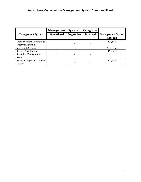|                                                              | Management         | System     | <b>Categories</b> |                                      |
|--------------------------------------------------------------|--------------------|------------|-------------------|--------------------------------------|
| <b>Management System</b>                                     | <b>Operational</b> | Vegetative | <b>Structural</b> | <b>Management System</b><br>Lifespan |
| Silage Leachate Control and<br><b>Treatment System</b>       |                    |            |                   | 10 years                             |
| Soil Health System                                           |                    |            |                   | $1 - 5$ years                        |
| <b>Stream Corridor and</b><br>Shoreline Management<br>System |                    |            |                   | 10 years                             |
| Waste Storage and Transfer<br>System                         |                    |            |                   | 10 years                             |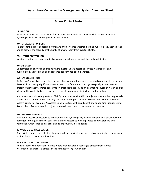### **Access Control System**

#### **DEFINITION**

An Access Control System provides for the permanent exclusion of livestock from a waterbody or hydrologically active area to protect water quality.

#### **WATER QUALITY PURPOSE**

To prevent the direct deposition of manure and urine into waterbodies and hydrologically active areas, and to protect the stability of the banks of a waterbody from livestock traffic.

#### **POLLUTANT CONTROLLED**

Nutrients, pathogens, bio-chemical oxygen demand, sediment and thermal modification

#### **WHERE USED**

On farmsteads, pastures, and fields where livestock have access to surface waterbodies and hydrologically active areas, and a resource concern has been identified.

#### **SYSTEM DESCRIPTION**

An Access Control System involves the use of appropriate fence and associated components to exclude livestock from having significant direct access to surface waters and hydrologically active areas to protect water quality. Other conservation practices that provide an alternative source of water, and/or allow for the controlled access to, or crossing of streams may be included in the system.

In some cases, multiple Agricultural BMP Systems may work within or adjacent one another to properly control and treat a resource concern; scenarios utilizing two or more BMP Systems should have each System listed. For example: An Access Control System with an adjacent and supporting Riparian Buffer System, both Systems used in conjunction to address one or more resource concerns.

#### **SYSTEM EFFECTIVENESS**

Eliminating access of livestock to waterbodies and hydrologically active areas prevents direct nutrient, pathogen, and organic matter contributions by livestock as well as protecting bank stability and vegetation which leads to less erosion and improved wildlife habitat.

#### **IMPACTS ON SURFACE WATER**

Beneficial – reduces the risk of contamination from nutrients, pathogens, bio-chemical oxygen demand, sediment, and thermal modification.

#### **IMPACTS ON GROUND WATER**

Neutral - It may be beneficial in areas where groundwater is recharged directly from surface waterbodies or there is a direct surface connection to groundwater.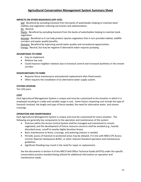#### **IMPACTS ON OTHER RESOURCES (OFF-SITE)**

Soil: Beneficial by excluding livestock from the banks of waterbodies helping to maintain bank stability and vegetation reducing soil erosion and sedimentation.

Air: Neutral.

Plants: Beneficial by excluding livestock from the banks of waterbodies helping to maintain bank vegetation.

Animals: Beneficial as it can help protect riparian vegetation that in turn provides habitat, wildlife corridors and water quality benefits.

Humans: Beneficial by improving overall water quality and recreational opportunities.

**Energy:** Neutral, but may be negative if alternative water requires pumping.

#### **ADVANTAGES TO FARM**

- Easy to implement.
- Relative low cost.
- Could improve neighbor relations due to livestock control and increased aesthetics in the stream corridor.

#### **DISADVANTAGES TO FARM**

- Requires fence maintenance and potential replacement after flood events.
- Often requires the installation of an alternative water supply system.

#### **SYSTEM LIFESPAN**

Ten (10) years.

#### **COST**

Each Agricultural Management System is unique and must be customized to the situation in which it is employed resulting in a wide and variable range in cost. Some factors impacting cost include the type of livestock involved, the length and type of fence needed, the need for alternative water, and stream crossings.

#### **OPERATION AND MAINTENANCE**

Each Agricultural Management System is unique and must be customized for every situation. The following are generally key components to the operation and maintenance of the system:

- Pastures within the Access Control System shall be managed and maintained to remain vegetated, and the development of future resource concerns shall be avoided (e.g., heavily disturbed areas, runoff to nearby Highly Sensitive Areas).
- Basic maintenance to fence, crossings, and watering stations is needed.
- Periodic access of livestock to protected areas may be allowed, if in line with NRCS CPS Access Control, Riparian Herbaceous Buffer, or other relevant Standard operation and maintenance guidelines.
- Significant flooding may result in the need for repair or replacement.

See the documents in Section 4 of the NRCS Field Office Technical Guide (eFOTG) under the specific conservation practice standard being utilized for additional information on operation and maintenance needs.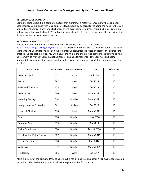#### **MISCELLANEOUS COMMENTS**

Components that result in a complete system that eliminates a resource concern may be eligible for cost-sharing. Compliance with local and state laws should be adhered to including the need for Erosion and Sediment Control plans for disturbances over 1 acre, contacting Underground Utilities Protection before excavation, contacting SHPO and others as applicable. Stream crossings and other activities that disturb streambanks may require permits.

#### **NRCS STANDARDS TO UTILIZE\***

For the most current information on each NRCS Standard, please go to the eFOTG at <https://efotg.sc.egov.usda.gov/#/details> use the drop box in the left side to reach Section IV – Practice Standards and Specifications, click on the folder for Conservation Practices and locate the appropriate practice. Under each practice, you will find, at the minimum, the practice standard. You may also find: a Statement of Work; Practice Guideline; Operation and Maintenance Plan; Specification Sheet; Standard Drawing; and other document that will assist in the planning, installation or operation of the practice.

| <b>NRCS Name</b>                   | <b>Standard #</b> | <b>Reportable Item</b> | Date              | <b>Life Span</b> |
|------------------------------------|-------------------|------------------------|-------------------|------------------|
| <b>Access Control</b>              | 472               | Acre                   | April 2019        | 10               |
| Fence                              | 382               | Feet                   | Oct 2014          | 10               |
| <b>Trails and Walkways</b>         | 575               | Feet                   | Oct 2015          | 10               |
| <b>Access Road</b>                 | 560               | Feet                   | <b>March 2021</b> | 10               |
| <b>Watering Facility</b>           | 614               | Number                 | <b>March 2021</b> | 10               |
| <b>Heavy Use Area Protection</b>   | 561               | Sq. Feet               | Oct 2015          | 10               |
| Livestock Pipeline                 | 516               | Feet                   | <b>March 2021</b> | 10               |
| Pond                               | 378               | Number                 | May 2018          | 10               |
| <b>Pumping Plant</b>               | 533               | Number                 | Dec 2011          | 10               |
| Spring Development                 | 574               | Number                 | August 2014       | 10               |
| <b>Structure for Water Control</b> | 587               | Number                 | <b>March 2019</b> | 10               |
| <b>Stream Crossing</b>             | 578               | Number                 | May 2012          | 10               |
| Water Well                         | 642               | Number                 | <b>March 2021</b> | 10               |
| Field Border                       | 386               | Acre                   | Oct 2017          | 10               |

\*This is a listing of the primary BMPs to utilize but is not all inclusive and other NY NRCS Standards could be utilized. Please check with your local SWCC representative for approval.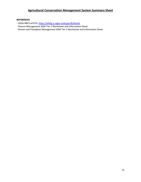#### **REFERENCES**

- USDA NRCS eFOTG[: https://efotg.sc.egov.usda.gov/#/details](https://efotg.sc.egov.usda.gov/#/details)
- Pasture Management AEM Tier 2 Worksheet and Information Sheet
- Stream and Floodplain Management AEM Tier 2 Worksheet and Information Sheet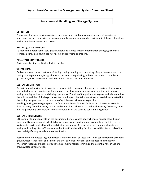# **Agrichemical Handling and Storage System**

#### **DEFINITION**

A permanent structure, with associated operation and maintenance procedures, that includes an impervious surface to provide an environmentally safe on-farm area for agri-chemical storage, handling, mixing, loading, recovery, and rinsing.

#### **WATER QUALITY PURPOSE**

To reduce the potential for soil, groundwater, and surface water contamination during agrichemical storage, mixing, loading, unloading, rinsing, and recycling operations.

#### **POLLUTANT CONTROLLED**

Agrichemicals – (i.e. pesticides, fertilizers, etc.)

#### **WHERE USED**

On farms where current methods of storing, mixing, loading, and unloading of agri-chemicals; and the rinsing of equipment and/or agrichemical containers are polluting, or have the potential to pollute ground and/or surface waters ; and a resource concern has been identified.

#### **SYSTEM DESCRIPTION**

An agrichemical mixing facility consists of a watertight containment structure comprised of a concrete pad and all necessary equipment for pumping, transferring, and storing water used in agrichemical mixing, loading, unloading, and rinsing operations. The size of the pad and storage capacity is related to the volume and size of the largest spray tank on the pad. Containment storage vessels incorporated into the facility design allow for the recovery of agrichemical, rinsate storage, plus handling/mixing/recovery/disposal. Surface runoff from a 25-year, 24-hour duration storm event is diverted away from the facility. A roof and sidewalls may be used to shelter the facility from rain, snow and ice, preventing precipitation from accumulating on the pad and contaminating runoff.

#### **SYSTEM EFFECTIVENESS**

Little or no information exists on the documented effectiveness of agrichemical handling facilities on water quality improvement. Much is known about water quality impacts when these facilities are not available for agrichemical handling and rinsing operations. A recent study of commercial pesticide mixing and loading sites in Wisconsin, without pesticide handling facilities, found that two-thirds of the sites had significant groundwater contamination.

Pesticides were detected in groundwater at more than half of these sites, with concentrations exceeding groundwater standards at one-third of the sites surveyed. Officials and the pesticide industry in Wisconsin recognized that use of agrichemical mixing facilities minimize the potential for surface and groundwater contamination.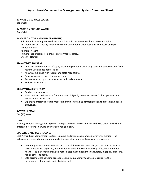#### **IMPACTS ON SURFACE WATER**

Beneficial.

#### **IMPACTS ON GROUND WATER**

Beneficial.

#### **IMPACTS ON OTHER RESOURCES (OFF-SITE)**

Soil: Beneficial as it greatly reduces the risk of soil contamination due to leaks and spills. Air: Beneficial as it greatly reduces the risk of air contamination resulting from leaks and spills. Plants: Neutral. Animals: Neutral. Human: Beneficial as it improves environmental safety. Energy: Neutral.

#### **ADVANTAGES TO FARM**

- Improves environmental safety by preventing contamination of ground and surface water from routine use and accidental spills.
- Allows compliance with federal and state regulations.
- Enhances owner / operator management.
- Promotes recycling of rinse water as tank make up water.
- Reduces liability risk.

#### **DISADVANTAGES TO FARM**

- Can be very expensive.
- Must perform maintenance frequently and diligently to ensure proper facility operation and water source protection.
- Expansive cropland acreage makes it difficult to pick one central location to protect and utilize exclusively.

#### **SYSTEM LIFESPAN**

Ten (10) years.

#### **COST**

Each Agricultural Management System is unique and must be customized to the situation in which it is employed resulting in a wide and variable range in cost.

#### **OPERATION AND MAINTENANCE**

Each Agricultural Management System is unique and must be customized for every situation. The following are generally key components to the operation and maintenance of the system:

- An Emergency Action Plan should be a part of the written O&M plan, in case of an accidental agrichemical spill, exposure, fire or other incident that could adversely affect environmental health. The plan should include a record-keeping component to accurately log spills, exposure, fire or other incidents.
- Safe agrichemical handling procedures and frequent maintenance are critical to the performance of any agrichemical mixing facility.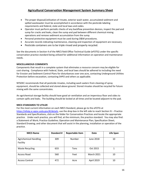- The proper disposal/utilization of rinsate, exterior wash water, accumulated sediment and spilled wastewater must be accomplished in accordance with the pesticide labeling requirements and federal, state and local laws and codes.
- Operator must perform periodic checks of any backflow prevention devices, inspect the pad and sump for cracks and leaks, clean the sump and pad between different chemical mixing operations and remove sediment accumulation from the sump.
- Personal protective equipment must be used during O&M procedures.
- Accurate records indicating maintenance, cleaning and inspection of equipment are necessary.
- Pesticide containers are to be triple rinsed and properly recycled.

See the documents in Section 4 of the NRCS field Office Technical Guide (eFOTG) under the specific conservation practice standard being utilized for additional information on operation and maintenance needs.

#### **MISCELLANEOUS COMMENTS**

Components that result in a complete system that eliminates a resource concern may be eligible for cost-sharing. Compliance with Federal, State, and local laws should be adhered to including the need for Erosion and Sediment Control Plans for disturbances over one acre, contacting Underground Utilities Protection before excavation, contacting SHPO and others as applicable.

NYSDEC recommends that all pesticide rinsates, including wash waters from cleaning of spray equipment, should be collected and stored above ground. Stored rinsates should be recycled for future mixing with the same concentrates.

An agrichemical storage facility should have good air ventilation and an impervious floor and sides to contain spills and leaks. The building should be locked at all times and be located adjacent to the pad.

#### **NRCS STANDARDS TO UTILIZE**

For the most current information on each NRCS Standard, please go to the eFOTG at [https://efotg.sc.egov.usda.gov/#/details,](https://efotg.sc.egov.usda.gov/#/details) use the drop box in the left side to reach Section IV – Practice Standards and Specifications, click on the folder for Conservation Practices and locate the appropriate practice. Under each practice, you will find, at the minimum, the practice standard. You may also find: a Statement of Work; Practice Guideline; Operation and Maintenance Plan; Specification Sheet; Standard Drawing; and other document that will assist in the planning, installation or operation of the practice.

| <b>NRCS Name</b>                         | <b>Standard #</b> | <b>Reportable Item</b> | <b>Date</b>       | <b>Life Span</b> |
|------------------------------------------|-------------------|------------------------|-------------------|------------------|
| <b>Agrichemical Handling</b><br>Facility | 309               | Number                 | June 2018         | 10               |
| <b>Waste Recycling</b>                   | 633               | Tons                   | Oct 2015          |                  |
| Access Road                              | 560               | Feet                   | <b>March 2021</b> | 10               |
| <b>Access Control</b>                    | 472               | Acre                   | April 2019        | 10               |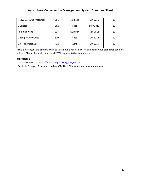| Heavy Use Area Protection | 561 | Sq. Feet | Oct 2015 | 10 |
|---------------------------|-----|----------|----------|----|
| <b>Diversion</b>          | 362 | Feet     | May 2017 | 10 |
| <b>Pumping Plant</b>      | 533 | Number   | Dec 2011 | 10 |
| <b>Underground Outlet</b> | 620 | Feet     | Oct 2014 | 10 |
| <b>Grassed Waterway</b>   | 412 | Acre     | Oct 2015 | 10 |

\*This is a listing of the primary BMPs to utilize but is not all inclusive and other NRCS Standards could be utilized. Please check with your local SWCC representative for approval.

#### **REFERENCES**

- USDA NRCS eFOTG[: https://efotg.sc.egov.usda.gov/#/details](https://efotg.sc.egov.usda.gov/#/details)

**-** Pesticide Storage, Mixing and Loading AEM Tier 2 Worksheet and Information Sheet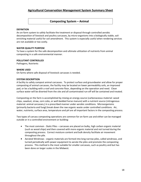# **Composting System – Animal**

#### **DEFINITION**

An on-farm system to safely facilitate the treatment or disposal through controlled aerobic decomposition of livestock and poultry carcasses, by micro-organisms into a biologically stable, soilenriching material useful for soil amendment. This system is especially useful when rendering services are not available or too costly.

#### **WATER QUALITY PURPOSE**

To have a system for the safe decomposition and ultimate utilization of nutrients from animal composting in a safe environmental manner.

#### **POLLUTANT CONTROLLED**

Pathogens, Nutrients

#### **WHERE USED**

On farms where safe disposal of livestock carcasses is needed.

#### **SYSTEM DESCRIPTION**

A facility to safely compost animal carcasses. To protect surface and groundwater and allow for proper composting of animal carcasses, the facility may be located on lower permeability soils, an improved pad, or be a building with a roof and concrete floor, depending on the operation and need. Clean surface water will be diverted from the site and all contaminated run-off will be contained and treated.

Composting on the farm is accomplished by mixing an energy source (carbonaceous material: wood chips, sawdust, straw, corn cobs, or well-bedded horse manure) with a nutrient source (nitrogenous material: animal carcasses,) in a prescribed manner under aerobic conditions. Microorganisms (primarily bacteria and fungi) break down the raw organic waste under controlled conditions. Air, water, nutrients, surface area, temperature and pH are all important factors in the composting process.

Two types of carcass composting operations are common for on-farm use and either can be managed outside or in a controlled environment or building:

- The most common Static Piles carcasses are placed on bulky, high carbon organic material (such as wood chips) and then covered with more organic material and not turned during the composting process. Correct moisture content and bulk density facilitate air movement throughout the pile.
- Aerated Windrows organic materials are formed into long narrow piles, called windrows, and turned periodically with power equipment to aerate the piles and promote the composting process. This method is the most suitable for smaller carcasses, such as poultry and but has been done on larger scales in the Midwest.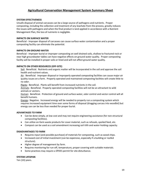#### **SYSTEM EFFECTIVENESS**

Unsafe disposal of animal carcasses can be a large source of pathogens and nutrients. Proper composting, including the collection and treatment of any leachate from the process, greatly reduces the issues with pathogens and when the final product is land applied in accordance with a Nutrient Management Plan, the loss of nutrients is negligible.

#### **IMPACTS ON SURFACE WATER**

Beneficial - Improper disposal of carcasses can cause surface water contamination and a proper composting facility can eliminate the potential.

#### **IMPACTS ON GROUND WATER**

Beneficial - Improper burial or improper composting on well drained soils, shallow to fractured rock or near high groundwater tables can have negative effects on ground water quality. Proper composting facility will be installed in proper soils or lined and will not affect ground water quality.

#### **IMPACTS ON OTHER RESOURCES (OFF-SITE)**

Soil: Beneficial. Nutrients and organic matter will be incorporated in the soil and approve the soil health and nutrient values.

Air: Beneficial. Improper disposal or improperly operated composting facilities can cause major air quality issues on a farm. Properly operated and maintained composting facilities will create little to no odor.

Plants: Beneficial. Plants will benefit from increased nutrients in the soil.

Animals: Beneficial. Properly operated composting facilities will not be an attractant to wild animals or vectors.

Human: Beneficial. Protection of ground and surface water, odor control and vector control will all benefit humans.

Energy**:** Negative. Increased energy will be needed to properly run a composting system which requires increased equipment time over some forms of disposal (dragging carcass into woodlot) but energy use can be less than needed for proper burial.

#### **ADVANTAGES TO FARM**

- Can be done simply, at low cost and may not require engineering assistance (for non-structural composting facilities).
- Can utilize on-farm waste products for cover material, such as refusals, spoiled feed, etc.
- Compost can be used as a soil amendment increasing soil tilth and water-holding capacity.

#### **DISADVANTAGES TO FARM**

- Requires input (and possible purchase) of materials for composting, such as wood chips.
- Increased cost of initial investment (can be expensive, especially if a building or roofed structure).
- Higher degree of management by farm.
- Requires monitoring for run-off, temperature, proper covering with suitable materials.
- Some practices may require a SPDES permit for site disturbance.

#### **SYSTEM LIFESPAN**

Ten (10) years.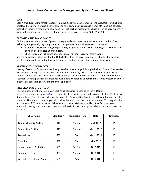#### **COST**

Each Agricultural Management System is unique and must be customized to the situation in which it is employed resulting in a wide and variable range in cost. Costs can range from little to no out of pocket cost when there is a readily available supply of high carbon material for a base or can be very expensive for a building where large volumes of material are composted – range \$0 to \$150,000.

#### **OPERATION AND MAINTENANCE**

Each Agricultural Management System is unique and must be customized for every situation. The following are generally key components to the operation and maintenance of the system:

- Maintain correct operating temperatures, proper aeration, carbon to nitrogen (C: N) ratio, and perform periodic testing of compost.
- Check for run-off, kill zones or other signs of nutrient loss after storm events.

See the documents in Section 4 of the NRCS Field Office Technical Guide (eFOTG) under the specific practice standard being utilized for additional information on operation and maintenance needs.

#### **MISCELLANEOUS COMMENTS**

Testing of compost for nutrients or heavy metals can be arranged through the local Cornell Cooperative Extension or through the Cornell Nutrient Analysis Laboratory. This practice may be eligible for costsharing. Compliance with local and state laws should be adhered to including the need for Erosion and Sediment Control plans for disturbances over 1 acre, contacting Underground Utilities Protection before excavation, contacting SHPO and others as applicable.

#### **NRCS STANDARDS TO UTILIZE \***

For the most current information on each NRCS Standard, please go to the eFOTG at [https://efotg.sc.egov.usda.gov/#/details,](https://efotg.sc.egov.usda.gov/#/details) use the drop box in the left side to reach Section IV – Practice Standards and Specifications, click on the folder for Conservation Practices and locate the appropriate practice. Under each practice, you will find, at the minimum, the practice standard. You may also find: a Statement of Work; Practice Guideline; Operation and Maintenance Plan; Specification Sheet; Standard Drawing; and other document that will assist in the planning, installation or operation of the practice.

| <b>NRCS Name</b>                 | <b>Standard #</b> | <b>Reportable Item</b> | <b>Date</b>       | <b>Life Span</b> |
|----------------------------------|-------------------|------------------------|-------------------|------------------|
| <b>Animal Mortality Facility</b> | 316               | Number                 | <b>April 2016</b> | 10               |
| <b>Composting Facility</b>       | 317               | Number                 | <b>March 2018</b> | 10               |
| Access Road                      | 560               | Feet                   | <b>March 2021</b> | 10               |
| <b>Diversion</b>                 | 362               | Feet                   | May 2017          | 10               |
| <b>Heavy Use Area Protection</b> | 561               | Sq. Feet               | Oct 2015          | 10               |
| <b>Roof and Covers</b>           | 367               | Number                 | Oct 2016          | 10               |
| Vegetative Treatment Area        | 635               | Acre                   | Oct 2016          | 10               |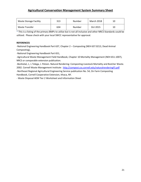| <b>Waste Storage Facility</b> | 313 | Number | March 2018 | 10 |
|-------------------------------|-----|--------|------------|----|
| Waste Transfer                | 634 | Number | Oct 2015   | 10 |

\* This is a listing of the primary BMPs to utilize but is not all inclusive and other NRCS Standards could be utilized. Please check with your local SWCC representative for approval.

#### **REFERENCES**

-National Engineering Handbook Part 637, Chapter 2 – Composting (NEH 637.0213, Dead Animal Composting),

-National Engineering Handbook Part 651,

-Agricultural Waste Management Field Handbook, Chapter 10 Mortality Management (NEH 651.1007), NRCS or comparable extension publication.

-Bonhotal, J., L Telega, J. Petzen. Natural Rendering: Composting Livestock Mortality and Butcher Waste. 2002. Cornell Waste Management Institute: <http://compost.css.cornell.edu/naturalrenderingFS.pdf> -Northeast Regional Agricultural Engineering Service publication No. 54, On Farm Composting Handbook, Cornell Cooperative Extension, Ithaca, NY.

- Waste Disposal AEM Tier 2 Worksheet and Information Sheet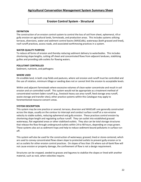### **Erosion Control System - Structural**

#### **DEFINITION**

The construction of an erosion control system to control the loss of soil from sheet, ephemeral, rill or gully erosion on agricultural lands, farmsteads, and production areas. This includes systems utilizing terraces, diversions, water and sediment control basins (WASCoBs), waterways (both grassed and lined), roof runoff practices, access roads, and associated earthmoving practices in a system.

#### **WATER QUALITY PURPOSE**

To reduce all forms of erosion and thereby reducing sediment delivery to waterbodies. This includes shortening slope lengths, cutting off sheet and concentrated flows from adjacent landuses, stabilizing gullies and providing safe outlets for flowing waters.

#### **POLLUTANT CONTROLLED**

Sediment, nutrients, and pathogens

#### **WHERE USED**

On erodible land, in both crop fields and pastures, where soil erosion and runoff must be controlled and the use of rotation, minimum tillage or seeding does not or cannot limit the erosion to acceptable levels.

Within and adjacent farmsteads where excessive volumes of clean water concentrate and result in soil erosion and un-controlled runoff. This system would not be appropriate as a treatment method of concentrated nutrient-laden runoff (e.g., livestock heavy use area runoff, feed storage area runoff, waste storage and transfer sites); other practice systems within this Catalogue may apply to forementioned resource concern areas.

#### **SYSTEM DESCRIPTION**

This system may be one practice or several; terraces, diversion and WASCoB's are generally constructed across the slope, usually on the contour to intercept and conduct surface runoff at a non-erosive velocity to stable outlets, reducing ephemeral and gully erosion. These practices control erosion by shortening slope length and regulating surface runoff. They can outlet into established grassed waterways, flat vegetated areas or other stabilized outlets. They also can be total storage structures that release the flow through underground outlets within 24 to 48 hours, depending on crops grown. These systems also act as sediment traps and help to reduce sediment-bound pollutants in surface runoff.

This system will also be used for the construction of waterways; grassed, lined or stone-centered, which are used to convey concentrated flows down slope to protected outlets to prevent gully erosion or to act as outlets for other erosion control practices. On slopes of less than 1% where out-of-bank flow will not cause erosion or property damage, the confinement of flow is not a design requirement.

Structures can be cropped, seeded to grasses and legumes to stabilize the slopes or lined with another material, such as rock, when velocities require.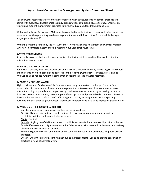Soil and water resources are often further conserved when structural erosion control practices are paired with cultural soil health practices (e.g., crop rotation, strip cropping, cover crop, conservation tillage) and nutrient management practices to further reduce pollutant transport and loss.

Within and adjacent farmsteads, BMPs may be compiled to collect, store, convey, and safely outlet clean water sources, thus protecting nearby management areas and infrastructure from possible damage and/or potential runoff.

When this system is funded by the NYS Agricultural Nonpoint Source Abatement and Control Program (ANSACP), a complete system of BMPs meeting NRCS Standards must result.

#### **SYSTEM EFFECTIVENESS**

Structural erosion control practices are effective at reducing soil loss significantly as well as limiting nutrient losses and runoff.

#### **IMPACTS ON SURFACE WATER**

Beneficial - Terraces, diversions, waterways and WASCoB's reduce erosion by controlling surface runoff and gully erosion which lessen loads delivered to the receiving waterbody. Terraces, diversion and WASCoB can also reduce nutrient loading through settling in areas of water retention.

#### **IMPACTS ON GROUND WATER**

Slight to Moderate - Can be beneficial in areas where the groundwater is recharged from surface waterbodies. In the absence of a nutrient management plan, terraces and diversions may increase nutrient leaching to groundwater. Impacts on groundwater may be reduced by increasing terrace or diversion release rates, thereby decreasing runoff storage time and potential soil saturation. Diversions decrease the amount of surface runoff infiltrating into the soil, reducing the risk of transporting nutrients and pesticides to groundwater. Waterways generally have little to no impact on ground water.

#### **IMPACTS ON OTHER RESOURCES (OFF-SITE)**

Soil: Beneficial to soil resources as soil loss will be diminished.

Air: Slightly beneficial and can have beneficial effects as erosion rates are reduced and the possibility that fines in the air will also be reduced.

Plants: Neutral.

Animals: Slightly beneficial improvement to wildlife as cross field practices could provide pathways for wildlife movement. Slight to moderate for fisheries as erosion rates will be lessened and delivery of sediment to waterbodies controlled.

Human: Slight to no effect on humans unless sediment reduction in waterbodies for public use are impacted.

Energy: Energy use may be slightly higher due to increased tractor use to go around conservation practices instead of normal plowing.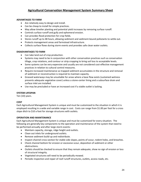#### **ADVANTAGES TO FARM**

- Are relatively easy to design and install.
- Can be cheap to install for simple practices.
- May allow timelier planting and potential yield increases by removing surface runoff.
- Controls surface runoff and gully and ephemeral erosion.
- Can provides flood protection for crop fields.
- Stores runoff up to 48 hours, allowing sediment and sediment-bound pollutants to settle out.
- Protects management areas and farmstead infrastructure.
- Collects surface flows during storm events and provides safe clean water outlets.

#### **DISADVANTAGES TO FARM**

- Can take land out of crop production.
- Systems may need to be in conjunction with other conservation practices such as conservation tillage, crop rotations, and contour or strip cropping to bring soil loss to acceptable levels.
- Some systems can be very expensive and usually are not considered cost-effective management practices in relation to cultural control measures.
- Require increased maintenance as trapped sediment accumulates in the structure and removal of sediment or reconstruction is required to maintain capacity.
- Grassed waterways may be unsuitable for areas where a base flow exists (sustained wetness prevents adequate vegetative cover) unless a stone-center lining and a subsurface drain and surface inlet are installed.
- Use may be precluded or have an increased cost if a stable outlet is lacking.

#### **SYSTEM LIFESPAN**

Ten (10) years.

#### **COST**

Each Agricultural Management System is unique and must be customized to the situation in which it is employed resulting in a wide and variable range in cost. Costs can range from \$1.00 per foot for a cross slope ditch to \$10 a foot for storage structures with outlets.

#### **OPERATION AND MAINTENANCE**

Each Agricultural Management System is unique and must be customized for every situation. The following are generally key components to the operation and maintenance of the system that need to be performed annually and after large storm events:

- Maintain capacity, storage, ridge height and outlets.
- Clean out inlets for underground outlets.
- Remove sediment build-up and redistribute.
- Inspect channel cross-section for stable side slopes, points of scour, rodent holes, and breaches.
- Check channel bottom for erosion or excessive scour, deposition of sediment or other obstructions.
- Outlets should be checked to ensure that they remain adequate, show no sign of erosion or loss of structural integrity.
- Vegetated structures will need to be periodically mowed.
- Periodic inspection and repair of roof runoff structures, outlets, access roads, etc.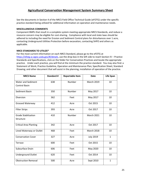See the documents in Section 4 of the NRCS Field Office Technical Guide (eFOTG) under the specific practice standard being utilized for additional information on operation and maintenance needs.

#### **MISCELLANEOUS COMMENTS**

Component BMPs that result in a complete system meeting appropriate NRCS Standards, and reduce a resource concern may be eligible for cost-sharing. Compliance with local and state laws should be adhered to including the need for Erosion and Sediment Control plans for disturbances over 1 acre, contacting Underground Utilities Protection before excavation, contacting SHPO and others as applicable.

#### **NRCS STANDARDS TO UTILIZE\***

For the most current information on each NRCS Standard, please go to the eFOTG at [https://efotg.sc.egov.usda.gov/#/details,](https://efotg.sc.egov.usda.gov/#/details) use the drop box in the left side to reach Section IV – Practice Standards and Specifications, click on the folder for Conservation Practices and locate the appropriate practice. Under each practice, you will find at the minimum the practice standard. You may also find: a Statement of Work; Practice Guideline, Operation and Maintenance Plan; Specification Sheet; Standard Drawing; and other document that will assist in the planning, installation of operation of the practice.

| <b>NRCS Name</b>              | <b>Standard #</b> | <b>Reportable Item</b> | <b>Date</b>       | <b>Life Span</b> |
|-------------------------------|-------------------|------------------------|-------------------|------------------|
| <b>Water and Sediment</b>     | 638               | Number                 | <b>March 2019</b> | 10               |
| <b>Control Basin</b>          |                   |                        |                   |                  |
| Sediment Basin                | 350               | Number                 | May 2017          | 10               |
| Diversion                     | 362               | Feet                   | May 2017          | 10               |
| <b>Grassed Waterway</b>       | 412               | Acre                   | Oct 2015          | 10               |
| <b>Filter Strips</b>          | 393               | Acre                   | Oct 2017          | 10               |
| <b>Grade Stabilization</b>    | 410               | Number                 | <b>March 2021</b> | 10               |
| Structure                     |                   |                        |                   |                  |
| <b>Critical Area Planting</b> | 342               | Acre                   | Oct 2017          | 10               |
| Lined Waterway or Outlet      | 468               | Feet                   | <b>March 2018</b> | 10               |
| <b>Conservation Cover</b>     | 327               | Acre                   | <b>July 2019</b>  | $\mathbf{1}$     |
| Terrace                       | 600               | Feet                   | Oct 2015          | 10               |
| Subsurface Drain              | 606               | Feet                   | May 2020          | 10               |
| <b>Underground Outlet</b>     | 620               | Feet                   | Oct 2014          | 10               |
| <b>Obstruction Removal</b>    | 500               | Acre                   | Sept 2010         | $\mathbf{1}$     |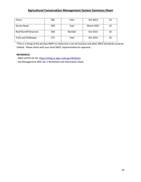| Fence                        | 382 | Feet   | Oct 2014          | 10 |
|------------------------------|-----|--------|-------------------|----|
| Access Road                  | 560 | Feet   | <b>March 2021</b> | 10 |
| <b>Roof Runoff Structure</b> | 558 | Number | Oct 2015          | 10 |
| <b>Trails and Walkways</b>   | 575 | Feet   | Oct 2015          | 10 |

\*This is a listing of the primary BMPs to utilize but is not all inclusive and other NRCS Standards could be utilized. Please check with your local SWCC representative for approval.

#### **REFERENCES**

- NRCS eFOTG for NY: <https://efotg.sc.egov.usda.gov/#/details>

**-** Soil Management AEM Tier 2 Worksheet and Information Sheet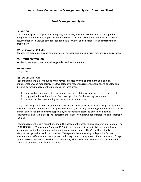## **Feed Management System**

#### **DEFINITION**

The continual process of providing adequate, not excess, nutrients to dairy animals through the integration of feeding and crop management to reduce nutrient excretion in manure and nutrient accumulation in soil, lower potential pollution risks to water and air resources, and improve farm profitability.

#### **WATER QUALITY PURPOSE**

Reduces the accumulation and potential loss of nitrogen and phosphorus in manure from dairy farms.

#### **POLLUTANT CONTROLLED**

Nutrients, pathogens, biochemical oxygen demand, and ammonia

#### **WHERE USED**

Dairy farms

#### **SYSTEM DESCRIPTION**

Feed management is a continuous improvement process involving benchmarking, planning, implementation, and monitoring. It is facilitated by a feed management specialist and adopted and directed by farm management to meet goals in three areas:

- 1. improved nutrient use efficiency, homegrown feed utilization, and income-over-feed cost;
- 2. crop production and purchased feeds are optimized for the feeding system; and
- 3. reduced nutrient overfeeding, excretion, and accumulation.

Dairy farms using the feed management process pursue those goals often by improving the digestible nutrient content of homegrown feeds produced and fed; accurately estimating feed nutrient intakes by animals and tracking feed inventories; employing scientific standards to determine nutrient requirements and ration levels; and increasing the level of homegrown feeds (forages and/or grains) in the diet.

Feed management recommendations should be based on the best available research information. The USDA-NRCS Feed Management Standard (NY-592) provides specific technical details and references about planning, implementation, and operation and maintenance. The Cornell Precision Feed Management guidelines and Precision Feed Management Benchmarking tools provide further information for effective feed management with dairy cows. Management of feed rations and forages should be consistent with Cornell recommendations, where available; otherwise National Research Council recommendations should be utilized.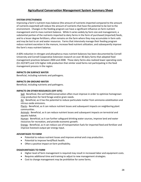#### **SYSTEM EFFECTIVENESS**

Improving a farm's nutrient mass balance (the amount of nutrients imported compared to the amount of nutrients exported) will reduce the amount of nutrients that have the potential to be lost to the environment. Changes in the feeding program can have a significant influence on farm nutrient management and its mass nutrient balance. While it varies widely by farm size and management, a substantial portion of the nutrients imported to dairy farms in the form of purchased (imported) feeds, and to a lesser degree fertilizers, often remains on the farm where they may accumulate in farm soils and may be lost to air and water resources. Farms that intensively manage their feeding program reduce nutrient excretion in the manure, increase feed nutrient utilization, and subsequently improve the farm's mass nutrient balance.

A 60% reduction in nitrogen and phosphorus mass nutrient balances has been documented by Cornell University and Cornell Cooperative Extension research on over 40 dairy farms that adopted feed management practices between 2004 and 2008. Those dairy farms also realized lower operating costs (\$1.33/CWT) and 11% higher milk production that similar sized farms not participating in the feed management process in the region.

#### **IMPACTS ON SURFACE WATER**

Beneficial, including nutrients and pathogens.

#### **IMPACTS ON GROUND WATER**

Beneficial, including nutrients and pathogens.

#### **IMPACTS ON OTHER RESOURCES (OFF-SITE)**

Soil: Beneficial, the soil health/conservation often must improve in order to optimize homegrown crop production for herd forage and/or grain needs.

Air: Beneficial, as it has the potential to reduce particulate matter from ammonia volatilization and nitrous oxide emissions.

Plants: Beneficial, as it can reduce nutrient losses and subsequent impacts on neighboring plant communities.

Animals: Beneficial, as it can reduce nutrient losses and subsequent impacts on terrestrial and aquatic habitat.

Human: Beneficial, as it can further safeguard drinking water sources, improve land and water resources for recreation, and provide economic growth.

Energy: Beneficial, as it can reduce use of transportation fuels for imported feed and fertilizer and improve livestock output per energy input.

#### **ADVANTAGES TO FARM**

- Potential to reduce nutrient losses and improve animal and crop production.
- Potential to improve herd/flock health.
- Often a positive impact on farm profitability.

#### **DISADVANTAGES TO FARM**

- Higher level of farm management is required may result in increased labor and equipment costs.
- Requires additional time and training to adjust to new management strategies.
- Cost to change management may be prohibitive for some farms.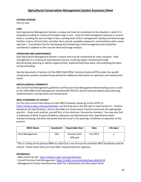#### **SYSTEM LIFESPAN**

One (1) year.

#### **COST**

Each Agricultural Management System is unique and must be customized to the situation in which it is employed resulting in a wide and variable range in cost. Costs for feed management depend on several factors, including the size and type of farm, existing level of farm management, feeding and feed storage facilities, history of herd, feed, and other farm records, available equipment, and familiarity with custom operators. Consultation fees for developing and maintaining a feed management plan should be considered in addition to the costs for feed and forage analyses.

#### **OPERATION AND MAINTENANCE**

Each Agricultural Management System is unique and must be customized for every situation. Feed management is a continuous improvement process, involving regular monitoring through benchmarking, planning to address opportunities, implementing those plans, and evaluating the plans via benchmarking.

See the documents in Section 4 of the NRCS Field Office Technical Guide (eFOTG) under the specific conservation practice standard being utilized for additional information on operation and maintenance needs.

#### **MISCELLANEOUS COMMENTS**

See Cornell Feed Management guidelines and Precision Feed Management Benchmarking tools as well as the USDA-NRCS Feed Management Standard (NY-592) for specific technical details about planning, implementation, and operation and maintenance.

#### **NRCS STANDARDS TO UTILIZE\***

For the most current information on each NRCS Standard, please go to the eFOTG at [https://efotg.sc.egov.usda.gov/#/details,](https://efotg.sc.egov.usda.gov/#/details) use the drop box in the left side to reach Section IV – Practice Standards and Specifications, click on the folder for Conservation Practices and locate the appropriate practice. Under each practice, you will find, at the minimum, the practice standard. You may also find: a Statement of Work; Practice Guideline; Operation and Maintenance Plan; Specification Sheet; Standard Drawing; and other document that will assist in the planning, installation or operation of the practice.

| <b>NRCS Name</b> | <b>Standard #</b> | <b>Reportable Item</b>           | Date     | Life Span |
|------------------|-------------------|----------------------------------|----------|-----------|
| Feed Management  | 592               | <b>Animals Units</b><br>Affected | Oct 2012 |           |

\*This is a listing of the primary BMPs to utilize but is not all inclusive and other NRCS Standards could be utilized. Please check with your local SWCC representative for approval.

#### **REFERENCES**

- NRCS eFOTG for NY: <https://efotg.sc.egov.usda.gov/#/details>

- Cornell Precision Feed Management:<https://cnydfc.cce.cornell.edu/topic.php?id=19>
- Management of Dairy Feed Nutrients AEM Tier 2 Worksheet and Information Sheet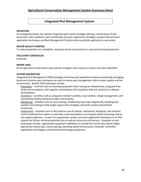### **Integrated Pest Management System**

#### **DEFINITION**

An ecologically based, site-specific integrated pest control strategy utilizing a combination of pest prevention, pest avoidance, pest monitoring, and pest suppression strategies coupled with precision application techniques and Best Management Practices when pesticide application is warranted.

#### **WATER QUALITY PURPOSE**

To reduce pesticide use, availability, and losses to the environment in crop and livestock production.

#### **POLLUTANT CONTROLLED**

Pesticides

#### **WHERE USED**

On all agricultural lands where pests will be managed, and a resource concern has been identified.

#### **SYSTEM DESCRIPTION**

Integrated Pest Management (IPM) strategies that keep pest populations below economically damaging levels and minimize pest resistance are used to reduce pest management risks to water quality and the environment. Specific IPM techniques include:

Prevention – activities such as cleaning equipment when leaving an infested area, using pest free seeds and transplants, and irrigation scheduling to limit situations that are conducive to disease development,

Avoidance - activities such as using pest resistant varieties, crop rotation, refuge management, and maintaining healthy and diverse plant communities,

Monitoring – activities such as crop scouting, establishing trap crops, degree-day modeling and weather forecasting to help target suppression strategies and avoid routine preventative treatments,

Suppression – activities such as the judicious use of cultural, mechanical, biological, and chemical control methods that reduce or eliminate a pest population or its impacts while minimizing risks to non-target organisms. As part of a suppression system, precision application techniques in an IPM system can further minimize pesticide risks to natural resources and humans. Examples of such techniques include: appropriate equipment calibration to include the correct rate, boom height, appropriate nozzle type, nozzle spacing, operating speed and pressure; computer controlled application technologies; and advanced technology equipment.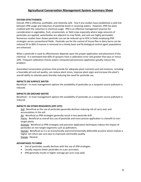#### **SYSTEM EFFECTIVENESS**

Overall, IPM is effective, profitable, and relatively safe. Few if any studies have established a solid link between IPM usage and reduction of pesticide levels in receiving waters. However, IPM has been credited with the reduction in chemical usage. IPM is an effective management practice for consideration in vegetables, fruit, ornamentals, or field crops especially where large amounts of pesticides are applied, waterbodies are adjacent to crop fields, and soils are highly permeable. Numerous studies have shown pesticide use can be reduced up to 45% in fields employing IPM strategies verses conventional fields. Pesticide use for the control of house flies in dairy barns can be reduced 50 to 80% if manure is removed on a timely basis and fly biological control agent populations are enhanced.

When a pesticide is used its effectiveness depends upon the proper application and placement of the chemical. It is estimated that 60% of sprayers have a calibration error rate greater than plus or minus 10%. Frequent calibration checks and/or computerized precision application greatly reduce this problem.

Associated conservation practices that provide for adequate plant nutrients and soil moisture, including a favorable pH and soil quality, can reduce plant stress, improve plant vigor and increase the plant's overall ability to tolerate pests thereby reducing the need for pesticide use.

#### **IMPACTS ON SURFACE WATER**

Beneficial – In most management options the availability of pesticides as a nonpoint source pollutant is reduced.

#### **IMPACTS ON GROUND WATER**

Beneficial – In most management options the availability of pesticides as a nonpoint source pollutant is reduced.

#### **IMPACTS ON OTHER RESOURCES (OFF-SITE)**

Soil: Beneficial as the use of pesticides generally declines reducing risk of carry over and accumulation in the soil.

Air**:** Beneficial as IPM strategies generally result in less pesticide drift.

Plants: Beneficial as overall less use of pesticide and more precise application is a benefit to nontarget plants.

Animals: Beneficial as IPM strategies and precision application techniques reduce the impact of pesticides on non-target organisms such as pollinators.

Human: Beneficial as it is an economically and environmentally defensible practice which realizes a higher net return per acre due to improved commodity quality. Energy: Neutral.

#### **ADVANTAGES TO FARM**

- Use of pesticides usually declines with the use of IPM strategies.
- Usually requires fewer pesticides on a per acre basis.
- IPM generally results in higher average per acre crop yield.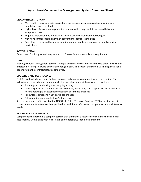#### **DISADVANTAGES TO FARM**

- May result in more pesticide applications per growing season as scouting may find pest populations over threshold.
- Higher level of grower management is required which may result in increased labor and equipment costs.
- Requires additional time and training to adjust to new management strategies.
- May have control costs higher than conventional control techniques.
- Cost of some advanced technology equipment may not be economical for small pesticide applicators.

#### **SYSTEM LIFESPAN**

One (1) year for IPM plan and may vary up to 10 years for various application equipment.

#### **COST**

Each Agricultural Management System is unique and must be customized to the situation in which it is employed resulting in a wide and variable range in cost. The cost of this system will be highly variable depending on the control strategies employed.

#### **OPERATION AND MAINTENANCE**

Each Agricultural Management System is unique and must be customized for every situation. The following are generally key components to the operation and maintenance of the system:

- Scouting and monitoring is an on-going activity.
- O&M is specific for each prevention, avoidance, monitoring, and suppression technique used. Record keeping is an essential component of all these practices.
- Follow label directions when pesticides are used.
- Follow equipment manufacturer's directions.

See the documents in Section 4 of the NRCS Field Office Technical Guide (eFOTG) under the specific conservation practice standard being utilized for additional information on operation and maintenance needs.

#### **MISCELLANEOUS COMMENTS**

Components that result in a complete system that eliminates a resource concern may be eligible for cost-sharing. Compliance with local, state, and federal laws should be adhered to.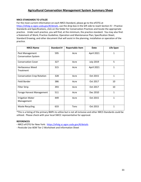#### **NRCS STANDARDS TO UTILIZE**

For the most current information on each NRCS Standard, please go to the eFOTG at [https://efotg.sc.egov.usda.gov/#/details,](https://efotg.sc.egov.usda.gov/#/details) use the drop box in the left side to reach Section IV – Practice Standards and Specifications, click on the folder for Conservation Practices and locate the appropriate practice. Under each practice, you will find, at the minimum, the practice standard. You may also find: a Statement of Work; Practice Guideline; Operation and Maintenance Plan; Specification Sheet; Standard Drawing; and other document that will assist in the planning, installation or operation of the practice.

| <b>NRCS Name</b>                              | <b>Standard #</b> | <b>Reportable Item</b> | Date             | Life Span    |
|-----------------------------------------------|-------------------|------------------------|------------------|--------------|
| Pest Management<br><b>Conservation System</b> | 595               | Acre                   | April 2021       | 1            |
| <b>Conservation Cover</b>                     | 327               | Acre                   | <b>July 2019</b> | 5            |
| <b>Herbaceous Weed</b><br>Treatment           | 315               | Acre                   | April 2021       | $\mathbf{1}$ |
| <b>Conservation Crop Rotation</b>             | 328               | Acre                   | Oct 2015         | $\mathbf{1}$ |
| Field Border                                  | 386               | Acre                   | Oct 2017         | 10           |
| <b>Filter Strip</b>                           | 393               | Acre                   | Oct 2017         | 10           |
| Forage Harvest Management                     | 511               | Acre                   | Dec 2010         | $\mathbf{1}$ |
| <b>Irrigation Water</b><br>Management         | 449               | Acre                   | Oct 2015         | 1            |
| <b>Waste Recycling</b>                        | 633               | Tons                   | Oct 2015         | 1            |

\*This is a listing of the primary BMPs to utilize but is not all inclusive and other NRCS Standards could be utilized. Please check with your local SWCC representative for approval.

#### **REFERENCES**

**-** NRCS eFOTG for New York: <https://efotg.sc.egov.usda.gov/#/details>

- Pesticide Use AEM Tier 2 Worksheet and Information Sheet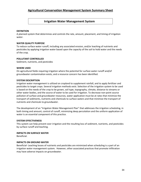# **Irrigation Water Management System**

#### **DEFINITION**

A planned system that determines and controls the rate, amount, placement, and timing of irrigation water.

#### **WATER QUALITY PURPOSE**

To reduce surface water runoff, including any associated erosion, and/or leaching of nutrients and pesticides by applying irrigation water based upon the capacity of the soil to hold water and the needs of the crop.

#### **POLLUTANT CONTROLLED**

Sediment, nutrients, and pesticides

#### **WHERE USED**

On agricultural fields requiring irrigation where the potential for surface water runoff and/of groundwater contamination exists, and a resource concern has been identified.

#### **SYSTEM DESCRIPTION**

Irrigation water management is utilized on cropland to supplement rainfall, and to apply fertilizer and pesticides to target crops. Several irrigation methods exist. Selection of the irrigation system to be used is based on the needs of the crop to be grown, soil type, topography, climate, distance to streams or other water bodies, and the source of water to be used for irrigation. To decrease non-point source pollution of surface and groundwater resources, water application must be at rates that minimize the transport of sediments, nutrients and chemicals to surface waters and that minimize the transport of nutrients and chemicals to groundwater.

The development of an "Irrigation Water Management Plan" that addresses the irrigation scheduling, in both timing and amount, control of runoff, minimizing deep percolation and the uniform application of water is an essential component of this practice.

#### **SYSTEM EFFECTIVENESS**

This system can help prevent over irrigation and the resulting loss of sediment, nutrients, and pesticides by surface runoff and leaching.

**IMPACTS ON SURFACE WATER** Beneficial.

#### **IMPACTS ON GROUND WATER**

Beneficial- Leaching losses of nutrients and pesticides are minimized when scheduling is a part of an irrigation water management system. However, other associated practices that promote infiltration may have adverse impacts on groundwater.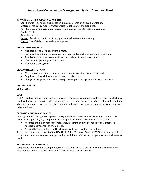#### **IMPACTS ON OTHER RESOURCES (OFF-SITE)**

Soil: Beneficial by minimizing irrigation induced soil erosion and sedimentation. Water: Beneficial by reducing water waste – applies what the crop needs. Air: Beneficial by managing soil moisture to reduce particulate matter movement. Plants: Neutral.

Animals: Neutral.

Human: Beneficial due to positive impacts on soil, water, air and energy. Energy: Beneficial as it can reduce energy use.

#### **ADVANTAGES TO FARM**

- Manages air, soil, or plant micro-climate.
- Provides the medium and guidance for proper and safe chemigation and fertigation.
- Avoids crop stress due to under-irrigation, and may increase crop yields.
- May reduce operating and labor costs.
- May reduce energy costs.

#### **DISADVANTAGES TO FARM**

- May require additional training, or an increase in irrigation management skills.
- Requires additional time and equipment to collect data.
- Changes in irrigation methods may require changes in equipment which can be costly.

#### **SYSTEM LIFESPAN**

One (1) year.

#### **COST**

Each Agricultural Management System is unique and must be customized to the situation in which it is employed resulting in a wide and variable range in cost. Some factors impacting cost include additional labor and equipment expenses to collect data and automated irrigation scheduling software may need to be purchased.

#### **OPERATION AND MAINTENANCE**

Each Agricultural Management System is unique and must be customized for every situation. The following are generally key components to the operation and maintenance of the system:

- Accurate and timely records of rate, amount, timing and maintenance of equipment is a necessary component of this practice.
- A record keeping system and O&M plan must be prepared for the system.

See the documents in Section 4 of the NRCS Field Office Technical Guide (eFOTG) under the specific conservation practice standard being utilized for additional information on operation and maintenance needs.

#### **MISCELLANEOUS COMMENTS**

Components that result in a complete system that eliminates a resource concern may be eligible for cost-sharing. Compliance with local and state laws should be adhered to.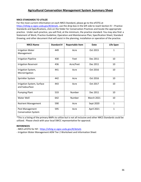#### **NRCS STANDARDS TO UTILIZE**

For the most current information on each NRCS Standard, please go to the eFOTG at [https://efotg.sc.egov.usda.gov/#/details,](https://efotg.sc.egov.usda.gov/#/details) use the drop box in the left side to reach Section IV – Practice Standards and Specifications, click on the folder for Conservation Practices and locate the appropriate practice. Under each practice, you will find, at the minimum, the practice standard. You may also find: a Statement of Work; Practice Guideline; Operation and Maintenance Plan; Specification Sheet; Standard Drawing; and other document that will assist in the planning, installation or operation of the practice.

| <b>NRCS Name</b>                              | <b>Standard #</b> | <b>Reportable Item</b> | <b>Date</b>       | <b>Life Span</b> |
|-----------------------------------------------|-------------------|------------------------|-------------------|------------------|
| <b>Irrigation Water</b><br>Management         | 449               | Acre                   | Oct 2015          | 1                |
| <b>Irrigation Pipeline</b>                    | 430               | Feet                   | Dec 2011          | 10               |
| <b>Irrigation Reservoir</b>                   | 436               | Acre/Feet              | Dec 2011          | 10               |
| Irrigation System,<br>Microirrigation         | 441               | Acre                   | Oct 2016          | 10               |
| Sprinkler System                              | 442               | Acre                   | Oct 2016          | 10               |
| Irrigation System, Surface<br>and Subsurface  | 443               | Acre                   | Oct 2017          | 10               |
| <b>Pumping Plant</b>                          | 533               | Number                 | Dec 2011          | 10               |
| Water Well                                    | 642               | Number                 | <b>March 2021</b> | 10               |
| <b>Nutrient Management</b>                    | 590               | Acre                   | Sept 2020         | $\mathbf{1}$     |
| Pest Management<br><b>Conservation System</b> | 595               | Acre                   | April 2021        | $\mathbf{1}$     |

\*This is a listing of the primary BMPs to utilize but is not all inclusive and other NRCS Standards could be utilized. Please check with your local SWCC representative for approval.

#### **REFERENCES**

- NRCS eFOTG for NY: <https://efotg.sc.egov.usda.gov/#/details>

- Irrigation Water Management AEM Tier 2 Worksheet and Information Sheet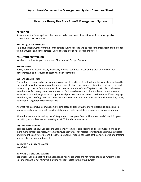## **Livestock Heavy Use Area Runoff Management System**

#### **DEFINITION**

A system for the interception, collection and safe treatment of runoff water from a barnyard or concentrated livestock area.

#### **WATER QUALITY PURPOSE**

To exclude clean water from the concentrated livestock areas and to reduce the transport of pollutants from barnyards and concentrated livestock areas into surface or groundwaters.

#### **POLLUTANT CONTROLLED**

Nutrients, sediments, pathogens, and Bio-chemical Oxygen Demand

#### **WHERE USED**

Barns, barnyards, loafing areas, paddocks, feedlots, calf hutch areas or any area where livestock concentrate, and a resource concern has been identified.

#### **SYSTEM DESCRIPTION**

The system is composed of one or more component practices. Structural practices may be employed to exclude clean water from areas of livestock concentrations (for example, diversions that intercept and transport upslope surface water away from barnyards and roof runoff systems that collect rainwater from barn roofs). Heavy Use Areas are used to facilitate clean up and direct polluted runoff where a variety of structural, vegetative and operational practices are used to treat polluted runoff and seepage from barnyards, loafing areas and other areas with concentrated waste. Examples include settling tanks, collection or vegetative treatment areas.

Alternatives also include elimination, utilizing gates and laneways to move livestock to barns and / or managed pastures or as a last resort, installation of roofs to isolate the barnyard from precipitation.

When this system is funded by the NYS Agricultural Nonpoint Source Abatement and Control Program (ANSACP), a complete system meeting all NRCS Standards must result.

#### **SYSTEM EFFECTIVENESS**

Because livestock heavy use area management systems are site-specific and are composed of one or more management practices, system effectiveness varies. Key factors for effectiveness include success of cutting off clean water before it reaches pollutants, reducing the size of the affected area and treating and or collecting polluted run-off.

#### **IMPACTS ON SURFACE WATER**

Beneficial.

#### **IMPACTS ON GROUND WATER**

Beneficial - Can be negative if the abandoned heavy use areas are not remediated and nutrient laden soil and manure is not removed allowing nutrient losses to the groundwater.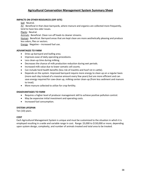## **IMPACTS ON OTHER RESOURCES (OFF-SITE)**

Soil: Neutral.

Air: Beneficial in that clean barnyards, where manure and organics are collected more frequently, tend to have less odor issues.

Plants: Neutral.

Animals: Beneficial. Clean run-off leads to cleaner streams.

Human: Beneficial. Barnyard areas that are kept clean are more aesthetically pleasing and produce less odors, flies or vectors.

Energy: Negative – increased fuel use.

## **ADVANTAGES TO FARM**

- Dries up barnyard and loafing area.
- Improves ease of daily operating procedures.
- Less clean-up time during milking.
- Decreases the chance of milk production reduction during wet periods.
- Increased milk value due to lower somatic cell counts.
- Can include herd health benefits (less risk of mastitis and hoof rot in cattle).
- Depends on the system. Improved barnyard require more energy to clean up on a regular basis (more each day instead of a massive amount every few years) but are more efficient and can save energy required for cow-clean up, milking center clean-up (from less sediment and manure to treat).
- More manure collected to utilize for crop fertility.

#### **DISADVANTAGES TO FARM**

- Requires a higher level of producer management skill to achieve positive pollution control.
- May be expensive initial investment and operating costs.
- Increased fuel consumption.

#### **SYSTEM LIFESPAN**

Ten (10) years.

#### **COST**

Each Agricultural Management System is unique and must be customized to the situation in which it is employed resulting in a wide and variable range in cost. Range: \$3,000 to \$150,000 or more, depending upon system design, complexity, and number of animals treated and total area to be treated.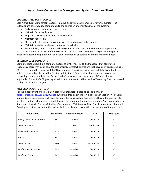### **OPERATION AND MAINTENANCE**

Each Agricultural Management System is unique and must be customized for every situation. The following are generally key components to the operation and maintenance of the system:

- Daily to weekly scraping of concrete pads.
- Maintain fences and gates.
- Re-grade barnyards as needed to control water.
- Maintain vegetation.
- Check roof gutters after heavy storm events and remove debris and ice.
- Maintain gravel/stone heavy use areas, if applicable.
- Ensure dosing on VTA to not overload system. Harvest and remove filter area vegetation.

See the documents in Section 4 of the NRCS Field Office Technical Guide (eFOTG) under the specific practice standard being utilized for additional information on operation and maintenance needs.

#### **MISCELLANEOUS COMMENTS**

Components that result in a complete system of BMPs meeting NRCS Standards that eliminate a resource concern may be eligible for cost-sharing. Livestock operations that have been designated as a CAFO are required to comply with CAFO regulations. Compliance with local and state laws should be adhered to including the need for Erosion and Sediment Control plans for disturbances over 1 acre, contacting Underground Utilities Protection before excavation, contacting SHPO and others as applicable. For an ANSACP grant application, it is required to utilize the Roof Screening Tool if a covered facility is included in the grant.

### **NRCS STANDARDS TO UTILIZE\***

For the most current information on each NRCS Standard, please go to the eFOTG at [https://efotg.sc.egov.usda.gov/#/details,](https://efotg.sc.egov.usda.gov/#/details) use the drop box in the left side to reach Section IV – Practice Standards and Specifications, click on the folder for Conservation Practices and locate the appropriate practice. Under each practice, you will find, at the minimum, the practice standard. You may also find: a Statement of Work; Practice Guideline; Operation and Maintenance Plan; Specification Sheet; Standard Drawing; and other document that will assist in the planning, installation or operation of the practice."

| <b>NRCS Name</b>                 | <b>Standard #</b> | <b>Reportable Item</b> | <b>Date</b>       | <b>Life Span</b> |
|----------------------------------|-------------------|------------------------|-------------------|------------------|
| <b>Heavy Use Area Protection</b> | 561               | Sq. Feet               | Oct 2015          | 10               |
| <b>Access Control</b>            | 472               | Acres                  | April 2019        | 10               |
| <b>Trails and Walkways</b>       | 575               | Feet                   | Oct 2015          | 10               |
| Fence                            | 382               | Feet                   | Oct 2014          | 10               |
| <b>Access Road</b>               | 560               | Feet                   | <b>March 2021</b> | 10               |
| <b>Roof Runoff Structure</b>     | 558               | Number                 | Oct 2015          | 10               |
| <b>Roof and Covers</b>           | 367               | Number                 | Oct 2016          | 10               |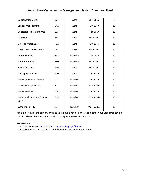| <b>Conservation Cover</b>                  | 327 | Acre   | <b>July 2019</b>  | $\mathbf{1}$ |
|--------------------------------------------|-----|--------|-------------------|--------------|
| <b>Critical Area Planting</b>              | 342 | Acre   | Oct 2017          | 10           |
| <b>Vegetated Treatment Area</b>            | 635 | Acre   | Feb 2017          | 10           |
| Diversion                                  | 362 | Feet   | May 2017          | 10           |
| Grassed Waterway                           | 412 | Acre   | Oct 2015          | 10           |
| Lined Waterway or Outlet                   | 468 | Feet   | May 2011          | 10           |
| <b>Pumping Plant</b>                       | 533 | Number | Dec 2011          | 10           |
| Sediment Basin                             | 350 | Number | May 2017          | 10           |
| Subsurface Drain                           | 606 | Feet   | May 2020          | 10           |
| <b>Underground Outlet</b>                  | 620 | Feet   | Oct 2014          | 10           |
| <b>Waste Separation Facility</b>           | 632 | Number | Oct 2013          | 10           |
| <b>Waste Storage Facility</b>              | 313 | Number | <b>March 2018</b> | 10           |
| <b>Waste Transfer</b>                      | 634 | Number | Oct 2015          | 10           |
| Water and Sediment Control<br><b>Basin</b> | 638 | Number | <b>March 2019</b> | 10           |
| <b>Watering Facility</b>                   | 614 | Number | <b>March 2021</b> | 10           |

\*This is a listing of the primary BMPs to utilize but is not all inclusive and other NRCS Standards could be utilized. Please check with your local SWCC representative for approval.

#### **REFERENCES**

- NRCS eFOTG for NY: <https://efotg.sc.egov.usda.gov/#/details>

- Livestock Heavy Use Area AEM Tier 2 Worksheet and Information Sheet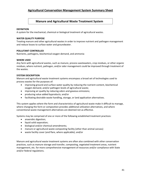## **Manure and Agricultural Waste Treatment System**

### **DEFINITION**

A system for the mechanical, chemical or biological treatment of agricultural wastes.

### **WATER QUALITY PURPOSE**

Treating manure and other agricultural wastes in order to improve nutrient and pathogen management and reduce losses to surface water and groundwater.

#### **POLLUTANT CONTROLLED**

Nutrients, pathogens, biochemical oxygen demand, and ammonia

## **WHERE USED**

Any farm with agricultural wastes, such as manure, process wastewaters, crop residues, or other organic residues, where nutrient, pathogen, and/or odor management could be improved through treatment of the wastes.

## **SYSTEM DESCRIPTION**

Manure and agricultural waste treatment systems encompass a broad set of technologies used to process wastes for the purposes of:

- improving ground and surface water quality by reducing the nutrient content, biochemical oxygen demand, and/or pathogen levels of agricultural waste;
- improving air quality by reducing odors and gaseous emissions;
- producing value added byproducts; and/or
- facilitating desirable waste handling, storage, or land application alternatives.

This system applies where the form and characteristics of agricultural waste make it difficult to manage, where changing the form or composition provides additional utilization alternatives, and where conventional waste management alternatives are deemed not as effective.

Systems may be comprised of one or more of the following established treatment practices:

- anaerobic digestion;
- liquid solid separation;
- biological and/or chemical amendments;
- manure or agricultural waste composting facility (other than animal carcass)
- waste facility cover (and flare, where applicable); and/or

Manure and agricultural waste treatment systems are often also combined with other conservation practices, such as manure storage and transfer, composting, vegetated treatment areas, nutrient management, etc. for more comprehensive management of resources and/or compliance with State and/or federal regulations.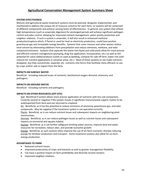#### **SYSTEM EFFECTIVENESS**

Manure and agricultural waste treatment systems must be planned, designed, implemented, and maintained to address the unique set of resource concerns for each farm, so systems will be comprised of different components and achieve varying levels of effectiveness. In general, any system that utilizes high temperatures (such as anaerobic digestion) for prolonged periods will achieve significant pathogen control and odor control, allowing for improved nutrient management, water quality protection and neighbor relations. If such a system is anaerobic, it will also result in enhanced methane production/capture which, if flared or used for heat or electricity production, could have positive greenhouse gas and renewable energy benefits. Systems that cover manure and other wastes reduce total volume by eliminating additions from precipitation and reduce ammonia, methane, and odor compound emissions. Systems that separate the waste into liquid and solid pools allow for more precise and efficient nutrient management (pumping, drag line application, incorporation, etc.) as well as the potential for value added products (solids re-used as bedding, compost for sale off farm, lower-risk solid manure for nutrient applications in sensitive areas, etc.). Most of these systems to not make nutrients disappear, but they concentrate, separate, etc. nutrients into forms that facilitate more efficient re-use by crops and/or sale or export from the farm.

#### **IMPACTS ON SURFACE WATER**

Beneficial - including reduced losses of nutrients, biochemical oxygen demand, ammonia, and pathogens.

#### **IMPACTS ON GROUND WATER**

Beneficial - including nutrients and pathogens.

#### **IMPACTS ON OTHER RESOURCES (OFF-SITE)**

Soil: Beneficial if system allows more precise application of nutrients with less soil compaction. Could be neutral or negative if the system results in significant manure/waste organic matter to be sold/exported from farm and not returned to cropland.

Air: Beneficial, as it has the potential to reduce emissions of ammonia, greenhouse gas, and odor compounds. May be negative if the treatment system is not operated correctly.

Plants: Beneficial, as it can reduce nutrient losses and subsequent impacts on neighboring plant communities.

Animals: Beneficial, as it can reduce pathogen losses as well as nutrient losses and subsequent impacts on terrestrial and aquatic habitat.

Human: Beneficial, as it can further safeguard drinking water sources, improve land and water resources for recreation, reduce odor, and provide economic growth.

Energy: Beneficial, as such systems often improve the use of on-farm nutrients, thereby reducing energy for fertilizer production and transport. Some treatment systems also allow for on-farm energy production.

#### **ADVANTAGES TO FARM**

- Reduced nutrient losses.
- Improved productivity of crops and livestock as well as greater management flexibility.
- Can have a positive impact on farm profitability and diversify income streams.
- Improved neighbor relations.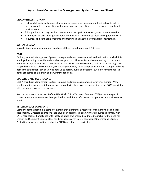### **DISADVANTAGES TO FARM**

- High capital costs, early stage of technology, sometimes inadequate infrastructure to deliver energy to market, competition with much larger energy entities, etc. may present significant barriers to entry.
- Soil organic matter may decline if systems involve significant exports/sales of manure solids.
- Higher level of farm management required may result in increased labor and equipment costs.
- Requires significant additional time and training to adjust to new management strategies.

### **SYSTEM LIFESPAN**

Variable depending on component practices of the system but generally 10 years.

## **COST**

Each Agricultural Management System is unique and must be customized to the situation in which it is employed resulting in a wide and variable range in cost. The cost is variable depending on the type of manure and agricultural waste treatment system. More complex systems, such as anaerobic digestion, coupled with liquid solid separation, electricity generation, solids composting, effluent storage, and drag hose land application, can be very expensive to design, build, and operate, but allow farms to realize other economic, community, and environmental goals.

## **OPERATION AND MAINTENANCE**

Each Agricultural Management System is unique and must be customized for every situation. Very regular monitoring and maintenance are required with these systems, according to the O&M associated with the various system components.

See the documents in Section 4 of the NRCS Field Office Technical Guide (eFOTG) under the specific conservation practice standard being utilized for additional information on operation and maintenance needs.

#### **MISCELLANEOUS COMMENTS**

Components that result in a complete system that eliminates a resource concern may be eligible for cost-sharing. Livestock operations that have been designated as a CAFO are required to comply with CAFO regulations. Compliance with local and state laws should be adhered to including the need for Erosion and Sediment Control plans for disturbances over 1 acre, contacting Underground Utilities Protection before excavation, contacting SHPO and others as applicable.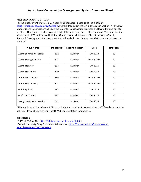## **NRCS STANDARDS TO UTILIZE\***

For the most current information on each NRCS Standard, please go to the eFOTG at [https://efotg.sc.egov.usda.gov/#/details,](https://efotg.sc.egov.usda.gov/#/details) use the drop box in the left side to reach Section IV – Practice Standards and Specifications, click on the folder for Conservation Practices and locate the appropriate practice. Under each practice, you will find, at the minimum, the practice standard. You may also find: a Statement of Work; Practice Guideline; Operation and Maintenance Plan; Specification Sheet; Standard Drawing; and other document that will assist in the planning, installation or operation of the practice."

| <b>NRCS Name</b>                 | Standard # | <b>Reportable Item</b> | <b>Date</b>       | Life Span |
|----------------------------------|------------|------------------------|-------------------|-----------|
| <b>Waste Separation Facility</b> | 632        | Number                 | Oct 2013          | 10        |
| <b>Waste Storage Facility</b>    | 313        | Number                 | <b>March 2018</b> | 10        |
| <b>Waste Transfer</b>            | 634        | Number                 | Oct 2015          | 10        |
| <b>Waste Treatment</b>           | 629        | Number                 | Oct 2013          | 10        |
| Anaerobic Digester               | 366        | Number                 | <b>March 2019</b> | 10        |
| <b>Composting Facility</b>       | 317        | Number                 | <b>March 2018</b> | 10        |
| <b>Pumping Plant</b>             | 533        | Number                 | Dec 2011          | 10        |
| <b>Roofs and Covers</b>          | 367        | Number                 | Oct 2016          | 10        |
| <b>Heavy Use Area Protection</b> | 561        | Sq. Feet               | Oct 2015          | 10        |

\*This is a listing of the primary BMPs to utilize but is not all inclusive and other NRCS Standards could be utilized. Please check with your local SWCC representative for approval.

#### **REFERENCES**

- NRCS eFOTG for NY - <https://efotg.sc.egov.usda.gov/#/details>

- Cornell University Dairy Environmental Systems: [https://cals.cornell.edu/pro-dairy/our](https://cals.cornell.edu/pro-dairy/our-expertise/environmental-systems)[expertise/environmental-systems](https://cals.cornell.edu/pro-dairy/our-expertise/environmental-systems)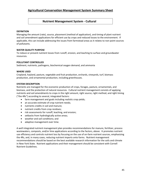## **Nutrient Management System - Cultural**

## **DEFINITION**

Managing the amount (rate), source, placement (method of application), and timing of plant nutrient and soil amendment applications for efficient use by crops and reduced losses to the environment. If applicable, this can include addressing the issues from farmstead areas as it relates to non-point sources of pollutants.

## **WATER QUALITY PURPOSE**

To reduce or prevent nutrient losses from runoff, erosion, and leaching to surface and groundwater resources.

#### **POLLUTANT CONTROLLED**

Sediment, nutrients, pathogens, biochemical oxygen demand, and ammonia

#### **WHERE USED**

Cropland, hayland, pasture, vegetable and fruit production, orchards, vineyards, turf, biomass production, and ornamental production, including greenhouses.

#### **SYSTEM DESCRIPTION**

Nutrients are managed for the economic production of crops, forages, pasture, ornamentals, and biomass, and the protection of natural resources. Cultural nutrient management consists of applying nutrients and soil amendments to crops in the right amount, right source, right method, and right timing ("the 4Rs") according to several, integrated factors:

- farm management and goals including realistic crop yields;
- an accurate estimate of crop nutrient needs;
- nutrients credits in soil and manure;
- nutrient credits from crop residues;
- risk assessments for runoff, leaching, and erosion;
- setbacks from hydrologically active areas;
- weather and soil conditions; and
- adaptive management over time.

A well integrated nutrient management plan provides recommendations for manure, fertilizer, process wastewaters, composts, and/or lime applications according to the factors, above. It promotes nutrient use efficiency and controls nutrient loss by focusing on the use of on-farm nutrient sources, emphasizing the 4Rs, and, in many cases, reducing nutrient imports onto farms. Nutrient management recommendations should be based on the best available research information for the soils and climate in New York State. Nutrient applications and their management should be consistent with Cornell Nutrient Guidelines.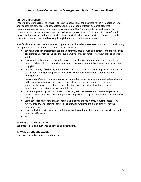## **SYSTEM EFFECTIVENESS**

Proper nutrient management prevents excessive applications, can decrease nutrient imports on farms, and reduces the potential for nutrient loss. Long-term experimentation demonstrates that recommendations based on field research, conducted in New York, provide the best estimate of economic response and improved nutrient cycling for our conditions. Several studies from Cornell University demonstrate reductions in whole farm nutrient balances and nutrient purchases as well as nutrient losses via runoff and leaching through improved nutrient management.

Specifically, there are many management opportunities that advance conservation and crop productivity through nutrient applications made with the 4Rs, including:

- counting nitrogen credits from soil organic matter, past manure applications, and crop residues can significantly reduce the need for supplemental nitrogen fertilizer without sacrificing crop yield;
- regular soil and manure testing helps make the most of on-farm nutrient sources and better target purchased fertilizers, saving money and excess nutrient applications without sacrificing crop yield;
- on-farm tracking of soil tests, manure tests, and field records over time improves confidence in the nutrient management program and allows continual improvement through adaptive management;
- incorporating/injecting manure soon after application to a growing crop or just before planting in the spring can increase the nitrogen supply from the manure, reduce the need for supplemental nitrogen fertilizer, reduce the risk of over applying phosphorus relative to crop uptake, and reduce risk of surface runoff losses;
- considering hydrologically active areas, weather, field risk assessments, and timing of crop nutrient use to prioritize nutrient applications improves crop uptake and lowers risk of runoff or leaching;
- using cover crops scavenges nutrients remaining after the main crop, reducing losses from runoff, erosion, and leaching, as well as conserving nutrients and organic matter for the following crop;
- applying fertilizer with a method and timing to allow optimal plant uptake reduces losses and improves efficiency;
- etc.

#### **IMPACTS ON SURFACE WATER**

Beneficial - including nutrients, sediment, and pathogens.

## **IMPACTS ON GROUND WATER**

Beneficial - including nitrogen and pathogens.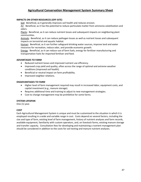## **IMPACTS ON OTHER RESOURCES (OFF-SITE)**

Soil: Beneficial, as it generally improves soil health and reduces erosion.

Air: Beneficial, as it has the potential to reduce particulate matter from ammonia volatilization and odors.

Plants: Beneficial, as it can reduce nutrient losses and subsequent impacts on neighboring plant communities.

Animals: Beneficial, as it can reduce pathogen losses as well as nutrient losses and subsequent impacts on terrestrial and aquatic habitat.

Human: Beneficial, as it can further safeguard drinking water sources, improve land and water resources for recreation, reduce odor, and provide economic growth.

Energy: Beneficial, as it can reduce use of farm fuels, energy for fertilizer manufacturing and transportation fuels for imported fertilizer and feed.

## **ADVANTAGES TO FARM**

- Reduced nutrient losses and improved nutrient use efficiency.
- Improved crop yield and quality, often across the range of optimal and extreme weather conditions (improved soil health).
- Beneficial or neutral impact on farm profitability.
- Improved neighbor relations.

## **DISADVANTAGES TO FARM**

- Higher level of farm management required may result in increased labor, equipment costs, and capital investment (e.g., manure storage).
- Requires additional time and training to adjust to new management strategies.
- Cost to change management may be prohibitive for some farms.

#### **SYSTEM LIFESPAN**

One (1) year.

#### **COST**

Each Agricultural Management System is unique and must be customized to the situation in which it is employed resulting in a wide and variable range in cost. Costs depend on several factors, including the size and type of farm, existing level of farm management, history of nutrient analyses and farm records, available equipment, familiarity with custom operators, and, on livestock farms, existing manure storage and transfer capacity. Consultation fees for developing and maintaining a nutrient management plan should be considered in addition to the costs for soil testing and manure nutrient analyses.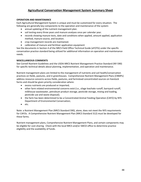## **OPERATION AND MAINTENANCE**

Each Agricultural Management System is unique and must be customized for every situation. The following are generally key components to the operation and maintenance of the system:

- annual updating of the nutrient management plan.
- soil testing every three years and manure analyses once per calendar year.
- records showing manure tests, date and conditions when applied, amount applied, application method, manure source, and location.
- crop management records are maintained.
- calibration of manure and fertilizer application equipment

See the documents in Section 4 of the NRCS Field Office Technical Guide (eFOTG) under the specific conservation practice standard being utilized for additional information on operation and maintenance needs.

## **MISCELLANEOUS COMMENTS**

See Cornell Nutrient Guidelines and the USDA-NRCS Nutrient Management Practice Standard (NY-590) for specific technical details about planning, implementation, and operation and maintenance.

Nutrient management plans are limited to the management of nutrients and soil health/conservation practices on fields, pastures, and in greenhouses. Comprehensive Nutrient Management Plans (CNMPs) address resource concerns across fields, pastures, and farmstead concentrated sources on livestock farms and should be given priority consideration where:

- excess nutrients are produced or imported;
- other farm related environmental concerns exist (i.e., silage leachate runoff, barnyard runoff, milkhouse wastewater, petroleum product storage, pesticide storage, mixing and loading, pesticide use and waste disposal);
- the farm has been determined to be a Concentrated Animal Feeding Operation (CAFO) by NYS Department of Environmental Conservation;
- etc.

Note: a Nutrient Management Plan (NRCS Standard 590), alone, does not meet the NYS requirements for CAFOs. A Comprehensive Nutrient Management Plan (NRCS Standard 312) must be developed for these farms.

Nutrient management plans, Comprehensive Nutrient Management Plans, and certain components may be eligible for cost-sharing. Check with the local NRCS and/or SWCD office to determine practice eligibility and the availability of funds.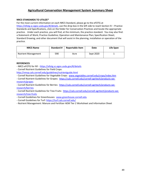## **NRCS STANDARDS TO UTILIZE\***

For the most current information on each NRCS Standard, please go to the eFOTG at [https://efotg.sc.egov.usda.gov/#/details,](https://efotg.sc.egov.usda.gov/#/details) use the drop box in the left side to reach Section IV – Practice Standards and Specifications, click on the folder for Conservation Practices and locate the appropriate practice. Under each practice, you will find, at the minimum, the practice standard. You may also find: a Statement of Work; Practice Guideline; Operation and Maintenance Plan; Specification Sheet; Standard Drawing; and other document that will assist in the planning, installation or operation of the practice.

| <b>NRCS Name</b>           | <b>Standard #</b> | <b>Reportable Item</b> | Date      | Life Span |
|----------------------------|-------------------|------------------------|-----------|-----------|
| <b>Nutrient Management</b> | 590               | Acre                   | Sept 2020 |           |

#### **REFERENCES**

- NRCS eFOTG for NY <https://efotg.sc.egov.usda.gov/#/details>
- Cornell Nutrient Guidelines for Field Crops:

<http://nmsp.cals.cornell.edu/guidelines/nutrientguide.html>

- Cornell Nutrient Guidelines for Vegetable Crops: [www.vegetables.cornell.edu/crops/index.htm](http://www.vegetables.cornell.edu/crops/index.htm)
- Cornell Nutrient Guidelines for Grapes: [https://cals.cornell.edu/cornell-agritech/products-we](https://cals.cornell.edu/cornell-agritech/products-we-research/grapes)[research/grapes](https://cals.cornell.edu/cornell-agritech/products-we-research/grapes)

- Cornell Nutrient Guidelines for Berries: [https://cals.cornell.edu/cornell-agritech/products-we](https://cals.cornell.edu/cornell-agritech/products-we-research/berries)[research/berries](https://cals.cornell.edu/cornell-agritech/products-we-research/berries)

- Cornell Nutrient Guidelines for Tree Fruits: [https://cals.cornell.edu/cornell-agritech/products-we](https://cals.cornell.edu/cornell-agritech/products-we-research/tree-fruits)[research/tree-fruits](https://cals.cornell.edu/cornell-agritech/products-we-research/tree-fruits)

- Cornell Guidelines for Greenhouses: [www.greenhouse.cornell.edu](http://www.greenhouse.cornell.edu/)

- Cornell Guidelines for Turf:<https://turf.cals.cornell.edu/>

- Nutrient Management: Manure and Fertilizer AEM Tier 2 Worksheet and Information Sheet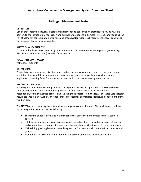## **Pathogen Management System**

#### **DEFINITION**

Use of preventative measures, livestock management and conservation practices to provide multiple barriers to the introduction, replication and survival of pathogens in domestic livestock and reducing the risk of pathogen contamination of surface and groundwater resources by treatment and/or controlling the movement of pathogens to water.

#### **WATER QUALITY PURPOSE**

To reduce the threat to surface and ground water from contamination by pathogenic organisms (e.g. Giardia and Cryptosporidium) found in farm animals.

#### **POLLUTANT CONTROLLED**

Pathogens, nutrients

#### **WHERE USED**

Primarily on agricultural land (livestock and poultry operations) where a resource concern has been identified citing runoff from young stock housing and/or exercise lots or land receiving manure application containing feces from infected animals which could enter nearby watercourse.

#### **SYSTEM DESCRIPTION**

A pathogen management system plan which incorporates a 4-barrier approach, as described below, shall be developed. The pathogen management plan will address each of the four barriers. A veterinarian, or other qualified professional, utilizing the protocol from the New York State Cattle Health Assurance Program (NYSCHAP), or other similar protocols for appropriate species, shall develop the first two barriers.

The **FIRST** barrier is reducing the potential for pathogens to enter the farm. This shall be accomplished by carrying out actions such as the following:

- The testing of non-chlorinated water supplies that serve the herd or flock for fecal coliform bacteria
- Establishing appropriate biosecurity measures, including those controlling people, pets, pests and other animals, equipment or materials that may transport pathogens from other sources.
- Maintaining good hygiene and minimizing herd or flock contact with manure from other animal groups.
- Maintaining an accurate animal identification system and record of all health events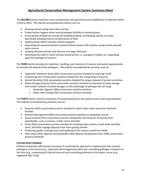The **SECOND** barrier minimizes cross-contamination among animals and amplification of infection within a herd or flock. This shall be accomplished by actions such as:

- Keeping animal raising areas clean and dry,
- Proper worker hygiene when moving between facilities or animal groups,
- Ensuring that all feeds are stored and handled properly, and feeding utensils are clean, specifically avoiding manure contamination of feed.
- Implementing rodent and pest control programs,
- Separating pre-weaned animals to prevent direct contact with another young animal and with adult manure,
- Isolating infected animals until they are no longer infectious,
- Identifying the order in which animals should be fed, i.e. youngest to oldest, etc. depending upon the pathogen of concern.

The **THIRD** barrier provides for collection, handling, and treatment of manure and wastes appropriately to minimize the spread of the pathogens. This shall be accomplished by practices such as:

- Vegetated Treatment Areas (635) conservation practice standard to reducing runoff
- Composting (317) conservation practice standard for the composting of manures
- Animal Mortality (316) conservation practice standard for proper disposal of animal mortalities
- Waste Storage Structure (313) conservation practice standard to extension of waste storage time and/or isolation of waste storages to take advantage of pathogen die-off using:
	- o Anaerobic Digester (366) conservation practice standard
	- o Water Well Testing (355) conservation practice standard

The **FORTH** barrier restricts movement of contaminated feces into watercourses and/or groundwater. This shall be accomplished by practices such as:

- Diversion (362) conservation practice standard to divert clean water away from livestock facilities
- Nutrient Management (590) conservation practice standard to spreading manure.
- Access Control (472) conservation practice standard for the exclusion of animals from waterbodies, such as streams, creeks, rivers and lakes
- Fence (382) conservation practice standard for isolating septic systems, leach fields and filter areas, and other septage disposal areas from grazing animals
- Protecting aquifer recharge areas and wellheads from manure runoff from fields
- Filter Strips (393), Riparian Forested Buffer (391) Riparian Herbaceous Cover (390) conservation practice standards

#### **SYSTEM EFFECTIVENESS**

Pollution prevention effectiveness increases if a multi-barrier approach is implemented that controls pathogens at the source (e.g., improved calf management) while also controlling pathogen transport on the farm (e.g., composting of infected manure) and controlling pollutants at the water course (e.g., vegetative filter strip).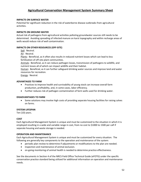#### **IMPACTS ON SURFACE WATER**

Potential for significant reduction in the risk of waterborne disease outbreaks from agricultural activities.

### **IMPACTS ON GROUND WATER**

Actual risk of pathogens from agricultural activities polluting groundwater sources still needs to be determined. Avoiding spreading of infected manure on karst topography and within recharge areas of wells would reduce risk of well contamination.

## **IMPACTS ON OTHER RESOURCES (OFF-SITE)**

Soil: Neutral.

Air: Neutral.

Plants: Beneficial, as it often also results in reduced nutrient losses which can lead to less fertilization of off-site plant communities.

Animals: Beneficial, as it can reduce pathogen losses, transmission of pathogens to wildlife, and nutrient losses all of which can impact wildlife and their habitat.

Human: Beneficial, as it can further safeguard drinking water sources and improve land and water resources for recreation.

Energy: Neutral.

#### **ADVANTAGES TO FARM**

- Practices to improve health and survivability of young stock can increase overall farm production, profitability, and, in some cases, labor efficiency.
- Further reduces risk of pathogen contamination of farm wells used for drinking water.

#### **DISADVANTAGES TO FARM**

• Some solutions may involve high costs of providing separate housing facilities for raising calves on farms.

#### **SYSTEM LIFESPAN**

Ten (10) years.

## **COST**

Each Agricultural Management System is unique and must be customized to the situation in which it is employed resulting in a wide and variable range in cost, from no cost to \$1000 to 1500 per calf if separate housing and waste storage is needed.

#### **OPERATION AND MAINTENANCE**

Each Agricultural Management System is unique and must be customized for every situation. The following are generally key components to the operation and maintenance of the system:

- periodic plan review to determine if adjustments or modifications to the plan are needed.
- inspection and maintenance of animal exclusion.
- on-going monitoring of animal health is needed to determine practice effectiveness.

See the documents in Section 4 of the NRCS Field Office Technical Guide (eFOTG) under the specific conservation practice standard being utilized for additional information on operation and maintenance needs.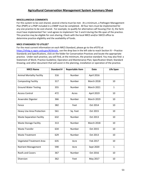#### **MISCELLANEOUS COMMENTS**

For this system to be cost-shared, several criteria must be met. At a minimum, a Pathogen Management Plan (PMP) or a PMP included in a CNMP must be completed. All four tiers must be implemented for any one practice to be cost-shared. For example, to qualify for alternative calf housing (Tier 2), the farm must have implemented Tier I and agrees to implement Tier 3 and 4 during the life-span of the practice. This practice may be eligible for cost-sharing. Check with the local NRCS and/or SWCD office to determine practice eligibility and the availability of funds.

#### **NRCS STANDARDS TO UTILIZE\***

For the most current information on each NRCS Standard, please go to the eFOTG at [https://efotg.sc.egov.usda.gov/#/details,](https://efotg.sc.egov.usda.gov/#/details) use the drop box in the left side to reach Section IV – Practice Standards and Specifications, click on the folder for Conservation Practices and locate the appropriate practice. Under each practice, you will find, at the minimum, the practice standard. You may also find: a Statement of Work; Practice Guideline; Operation and Maintenance Plan; Specification Sheet; Standard Drawing; and other document that will assist in the planning, installation or operation of the practice.

| <b>NRCS Name</b>                 | <b>Standard #</b> | <b>Reportable Item</b> | <b>Date</b>       | <b>Life Span</b> |
|----------------------------------|-------------------|------------------------|-------------------|------------------|
| <b>Animal Mortality Facility</b> | 316               | <b>Number</b>          | April 2016        |                  |
| <b>Composting Facility</b>       | 317               | Number                 | <b>March 2018</b> | 10               |
| <b>Ground Water Testing</b>      | 355               | Number                 | <b>March 2021</b> | $\mathbf{1}$     |
| <b>Access Control</b>            | 472               | Acres                  | April 2019        | 10               |
| Anaerobic Digester               | 366               | Number                 | <b>March 2019</b> | 10               |
| Fence                            | 382               | Feet                   | Oct 2014          | 10               |
| Heavy Use Area Protection        | 561               | Sq. Feet               | Oct 2015          | 10               |
| <b>Waste Separation Facility</b> | 632               | Number                 | Oct 2013          | 10               |
| <b>Waste Storage Facility</b>    | 313               | Number                 | <b>March 2018</b> | 10               |
| <b>Waste Transfer</b>            | 634               | Number                 | Oct 2015          | 10               |
| <b>Waste Treatment</b>           | 629               | Number                 | Oct 2013          | 10               |
| <b>Vegetated Treatment Area</b>  | 635               | Acre                   | Feb 2017          | 10               |
| <b>Nutrient Management</b>       | 590               | Acre                   | Sept 2020         | $\mathbf{1}$     |
| <b>Roofs and Covers</b>          | 367               | Number                 | Oct 2016          | 10               |
| Diversion                        | 362               | Feet                   | May 2017          | 10               |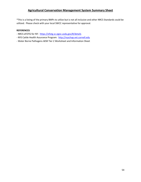\*This is a listing of the primary BMPs to utilize but is not all inclusive and other NRCS Standards could be utilized. Please check with your local SWCC representative for approval.

### **REFERENCES**

- NRCS eFOTG for NY: <https://efotg.sc.egov.usda.gov/#/details>
- NYS Cattle Health Assurance Program: [http://nyschap.vet.cornell.edu](http://nyschap.vet.cornell.edu/)
- Water Borne Pathogens AEM Tier 2 Worksheet and Information Sheet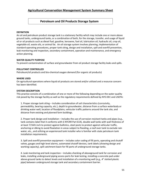## **Petroleum and Oil Products Storage System**

#### **DEFINITION**

An oil and petroleum product storage tank is a stationary facility which may include one or more above ground tanks, underground tanks, or a combination of both, for the storage, transfer, and usage of liquid oil or oil products such as diesel fuel, gasoline, kerosene, fuel oil, lubrication oil, hydraulic oil, crop oil, vegetable oil, waste oils, or animal fat. An oil storage system involves planning, implementation of standard operating procedures, proper tank siting, design and installation, spill and overfill prevention, leak monitoring and inspection, secondary containment, operation and maintenance, and emergency action planning.

#### **WATER QUALITY PURPOSE**

To prevent contamination of surface and groundwater from oil product storage facility leaks and spills.

#### **POLLUTANT CONTROLLED**

Petroleum/oil products and bio-chemical oxygen demand (for organic oil products)

## **WHERE USED**

On agricultural operations where liquid oil products are stored and/or utilized and a resource concern has been identified.

## **SYSTEM DESCRIPTION**

This practice consists of a combination of one or more of the following depending on the water quality risk posed by the storage facility as well as the regulatory requirements defined by NYS DEC and USEPA:

1. Proper storage tank siting – includes consideration of soil characteristics (corrosivity, permeability, bearing capacity, etc.), depth to groundwater, distance from a surface waterbody or drinking water well, location of floodplains, vehicular traffic patterns around the tank site, and distance from existing and planned farm buildings.

2. Proper tank design and installation – includes the use of corrosion resistant tanks and pipes (e.g., tank contains label that it conforms with 6 NYCRR Part 614), double wall tanks with wall thickness of at least 7/16th inch to protect against ballistics, steel posts to protect against vehicular traffic, anchoring or diking to avoid floatation in areas subject to flooding, a roof over tank to exclude rain water, etc., and utilizing an experienced tank installer who is familiar with state petroleum tank installation requirements.

3. Spill and overfill prevention equipment – includes color coding of fill ports, operating and shutoff valves, gauges and high level alarms, automated shutoff devices, tank labels (showing design and working capacity), spill catchment basin for fill ports of underground storage tanks.

4. Leak monitoring and tank inspection – includes checking of aboveground tank for corrosion and leaks, installing underground piping access ports for leak testing, installing a concrete pad under above-ground tanks to detect levels and installation of a monitoring well (e.g., 4" slotted plastic pipe) between underground storage tank and secondary containment barrier.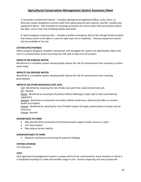5. Secondary containment barrier – includes aboveground engineered dikes, curbs, liners, or diversion system designed to contain spills from above-ground tank rupture, overfills, vandals and equipment failure. Also included are drainage provisions for storm water that accumulates within the dike, curb or liner and installing double-wall tanks.

6. Spill emergency response plan – includes a written emergency plan at the storage facility location that shows action to be taken in case of a spill, leak, fire or explosion. Cleanup equipment should also be available at the site.

## **SYSTEM EFFECTIVENESS**

When properly designed, installed, maintained, and managed this system can significantly reduce the risk of a contamination event occurring from the spill or leak of an oil product.

#### **IMPACTS ON SURFACE WATER**

Beneficial as a complete system should greatly reduce the risk of contaminants from reaching a surface water body.

#### **IMPACTS ON GROUND WATER**

Beneficial as a complete system should greatly reduce the risk of contaminants from reaching groundwater.

## **IMPACTS ON OTHER RESOURCES (OFF-SITE)**

Soil: Beneficial by reducing the risk of leaks and spills that could contaminate soil.

Air**:** Neutral.

Plants**:** Beneficial as movement of product offsite following a major spill or leak could destroy vegetation.

Animals**:** Beneficial as movement of product offsite could have a detrimental effect on animal health and habitat.

Human**:** Beneficial by reducing the risk of health impacts through contamination of water and air resources.

Energy**:** Neutral.

## **ADVANTAGES TO FARM**

- May provide direct protection to farmstead water supply if water source is a well.
- Can save product.
- May reduce farmer liability.

#### **DISADVANTAGES TO FARM**

• Requires continuous monitoring for potential leakage.

#### **SYSTEM LIFESPAN**

Ten (10) years.

#### **COST**

Each agricultural management System is unique and must be customized for every situation in which it is employed resulting in a wide and variable range in cost. Factors impacting cost may include site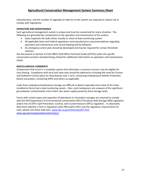characteristics, and the number of upgrades or add-ons to the system are required to reduce risk or comply with regulations.

#### **OPERATION AND MAINTENANCE**

Each agricultural management system is unique and must be customized for every situation. The following are generally key components to the operation and maintenance of the system:

- Daily inspection for leaks either visually or check of leak monitoring system.
- All applicable State and Federal regulations and manufacturers recommendations regarding operation and maintenance and record keeping will be followed.
- An emergency action plan should be developed and may be required for certain threshold volumes.

See documents in Section 4 of the NRCS Field Office Technical Guide (eFOTG) under the specific conservation practice standard being utilized for additional information on operation and maintenance needs.

## **MISCELLANEOUS COMMENTS**

Components that result in a complete system that eliminates a resource concern may be eligible for cost-sharing. Compliance with local and state laws should be adhered to including the need for Erosion and Sediment Control plans for disturbances over 1 acre, contacting Underground Utilities Protection before excavation, contacting SHPO and others as applicable.

Leaks from underground petroleum storage are difficult to detect especially since most of the tanks installed on farms lack a leak monitoring system. Also, most landowners are unaware of the significant groundwater contamination risk to their own water supply posed by these storage tanks.

Farms with certain types and capacities of petroleum or oil product storages are required to comply with the NYS Department of Environmental Conservation (DEC) Petroleum Bulk Storage (PBS) regulation and/or the US EPA's Spill Prevention, Control, and Countermeasure (SPCC) regulation. To absolutely determine whether a farm is regulated under PBS and/or SPCC and the regulatory requirements for each, please visit these web sites[: www.dec.ny.gov/chemical/287.html](http://www.dec.ny.gov/chemical/287.html) [www.epa.gov/ceppo/web/content/spcc/](http://www.epa.gov/ceppo/web/content/spcc/)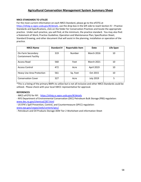## **NRCS STANDARDS TO UTILIZE**

For the most current information on each NRCS Standard, please go to the eFOTG at [https://efotg.sc.egov.usda.gov/#/details,](https://efotg.sc.egov.usda.gov/#/details) use the drop box in the left side to reach Section IV – Practice Standards and Specifications, click on the folder for Conservation Practices and locate the appropriate practice. Under each practice, you will find, at the minimum, the practice standard. You may also find: a Statement of Work; Practice Guideline; Operation and Maintenance Plan; Specification Sheet; Standard Drawing; and other document that will assist in the planning, installation or operation of the practice.

| <b>NRCS Name</b>                                 | Standard # | <b>Reportable Item</b> | Date              | Life Span |
|--------------------------------------------------|------------|------------------------|-------------------|-----------|
| On-Farm Secondary<br><b>Containment Facility</b> | 319        | Number                 | <b>March 2016</b> | 10        |
| Access Road                                      | 560        | Feet                   | <b>March 2021</b> | 10        |
| <b>Access Control</b>                            | 472        | Acre                   | April 2019        | 10        |
| <b>Heavy Use Area Protection</b>                 | 561        | Sq. Feet               | Oct 2015          | 10        |
| <b>Conservation Cover</b>                        | 327        | Acre                   | <b>July 2019</b>  | 5         |

\*This is a listing of the primary BMPs to utilize but is not all inclusive and other NRCS Standards could be utilized. Please check with your local SWCC representative for approval.

#### **REFERENCES**

- NRCS eFOTG for NY: <https://efotg.sc.egov.usda.gov/#/details>

- NYS Department of Environmental Conservation (DEC) Petroleum Bulk Storage (PBS) regulation: [www.dec.ny.gov/chemical/287.html](http://www.dec.ny.gov/chemical/287.html)

- US EPA's Spill Prevention, Control, and Countermeasure (SPCC) regulation: [www.epa.gov/ceppo/web/content/spcc/](http://www.epa.gov/ceppo/web/content/spcc/)

- Petroleum and Oil Products Storage AEM Tier 2 Worksheet and information Sheet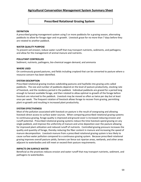## **Prescribed Rotational Grazing System**

#### **DEFINITION**

A prescribed grazing management system using 5 or more paddocks for a grazing season, alternating paddocks to allow for forage vigor and re-growth. Livestock graze for no more than 7 days before they are rotated to another paddock.

#### **WATER QUALITY PURPOSE**

To prevent soil erosion; reduce water runoff that may transport nutrients, sediments, and pathogens; and allow for the management of animal manure and nutrients.

#### **POLLUTANT CONTROLLED**

Sediment, nutrients, pathogens, bio-chemical oxygen demand, and ammonia

#### **WHERE USED**

On continuously grazed pastures, and fields including cropland that can be converted to pasture where a resource concern has been identified.

#### **SYSTEM DESCRIPTION**

Prescribed rotational grazing involves subdividing pastures and hayfields into grazing units called paddocks. The size and number of paddocks depend on the level of pasture productivity, stocking rate of livestock, and the residency period in the paddock. Individual paddocks are grazed for a period long enough to harvest available forage, and then rotated to allow optimal re-growth of the forage before livestock are returned to the paddock. Livestock may be moved as often as twice per day but at least once per week. The frequent rotation of livestock allows forage to recover from grazing, permitting plant re-growth and resulting in increased plant productivity.

#### **SYSTEM EFFECTIVENESS**

Most of the pollution associated with livestock on pasture is the result of overgrazing and allowing livestock direct access to surface water sources. When comparing prescribed rotational grazing systems to continuous grazing, forage quality is improved and ground cover is increased reducing erosion and runoff potential. Prescribed rotational grazing systems reduce the time livestock spend grazing on any single paddock, and improve the uniformity of manure and urine deposition over the pasture allowing for improved plant utilization and reduced runoff of nutrients. Controlled grazing pressure increases the quality and quantity of forage, thereby reducing the fiber content in manure and increasing the speed of manure decomposition. Livestock manure from a prescribed rotational grazing system is less likely to cause surface water pollution compared to a continuous grazing system. Because prescribed rotational grazing improves overall pasture yields, farmers can fence out riparian areas, wetlands, and other areas adjacent to waterbodies and still meet or exceed their pasture requirements.

## **IMPACTS ON SURFACE WATER**

Beneficial as the practices reduces erosion and water runoff that may transport nutrients, sediment, and pathogens to waterbodies.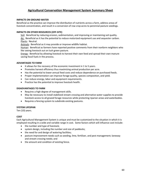### **IMPACTS ON GROUND WATER**

Beneficial as the practice can improve the distribution of nutrients across a farm, address areas of livestock concentration, and result in a conversion of row crop acres to perennial pasture seedings.

## **IMPACTS ON OTHER RESOURCES (OFF-SITE)**

Soil: Beneficial by reducing erosion, sedimentation, and improving or maintaining soil quality. Air: Beneficial as it has the potential to reduce motorized equipment use and sequester carbon. Plants: Neutral.

Animals: Beneficial as it may provide or improve wildlife habitat.

Human: Beneficial as farmers have reported positive comments from their nonfarm neighbors who like seeing livestock out on lush green pasture.

Energy: Beneficial by allowing livestock to harvest their own feed and spread their own manure saving fossil fuels in the process.

## **ADVANTAGES TO FARM**

- It allows for the recovery of the economic investment in 1 to 5 years.
- Promotes harvest efficiency thus maximizing animal production per acre.
- Has the potential to lower annual feed costs and reduce dependence on purchased feeds.
- Proper implementation can improve forage quality, species composition, and yield.
- Can reduce energy, labor and equipment requirements.
- Practice has the potential to improve livestock health.

#### **DISADVANTAGES TO FARM**

- Requires a high degree of management skills.
- May be necessary to install stabilized stream crossing and alternative water supplies to provide livestock access to all grazed forage resources while protecting riparian areas and waterbodies.
- Requires a fencing system to subdivide existing pastures.

## **SYSTEM LIFESPAN**

Ten (10) years.

## **COST**

Each Agricultural Management System is unique and must be customized to the situation in which it is employed resulting in a wide and variable range in cost. Some factors which will influence cost include:

- the number and type of livestock;
- system design, including the number and size of paddocks;
- the need for and design of watering facilities;
- pasture improvement needs such as seeding, lime, fertilizer, and pest management; laneway and stream crossing needs; and
- the amount and condition of existing fence.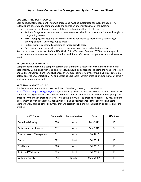## **OPERATION AND MAINTENANCE**

Each agricultural management system is unique and must be customized for every situation. The following are generally key components to the operation and maintenance of the system:

- Soil analysis on at least a 3-year rotation to determine pH and fertility needs.
- Periodic forage analyses from actual pasture samples should be done about 3 times throughout the growing season.
- Excess forage growth (spring flush) must be captured either by mechanically harvesting or allowing another livestock group to graze it.
- Paddocks must be rotated according to forage growth stage.
- Basic maintenance as needed to fences, laneways, crossings, and watering stations.

See the documents in Section 4 of the NRCS Field Office Technical Guide (eFOTG) under the specific conservation practice standard being utilized for additional information on operation and maintenance needs.

## **MISCELLANEOUS COMMENTS**

Components that result in a complete system that eliminates a resource concern may be eligible for cost-sharing. Compliance with local and state laws should be adhered to including the need for Erosion and Sediment Control plans for disturbances over 1 acre, contacting Underground Utilities Protection before excavation, contacting SHPO and others as applicable. Stream crossing or disturbance of stream banks may require a permit.

## **NRCS STANDARDS TO UTILIZE**

For the most current information on each NRCS Standard, please go to the eFOTG at [https://efotg.sc.egov.usda.gov/#/details,](https://efotg.sc.egov.usda.gov/#/details) use the drop box in the left side to reach Section IV – Practice Standards and Specifications, click on the folder for Conservation Practices and locate the appropriate practice. Under each practice, you will find, at the minimum, the practice standard. You may also find: a Statement of Work; Practice Guideline; Operation and Maintenance Plan; Specification Sheet; Standard Drawing; and other document that will assist in the planning, installation or operation of the practice.

| <b>NRCS Name</b>           | <b>Standard #</b> | <b>Reportable Item</b> | Date              | Life Span |
|----------------------------|-------------------|------------------------|-------------------|-----------|
| <b>Prescribed Grazing</b>  | 528               | Acre                   | May 2011          | 10        |
| Pasture and Hay Planting   | 512               | Acre                   | Sept 2010         | 5         |
| Forage Harvest Management  | 511               | Acre                   | Dec 2010          | 1         |
| Fence                      | 382               | Feet                   | Oct 2014          | 10        |
| Field Border               | 386               | Acre                   | Oct 2017          | 10        |
| <b>Trails and Walkways</b> | 575               | Feet                   | Oct 2015          | 10        |
| <b>Watering Facility</b>   | 614               | Number                 | <b>March 2021</b> | 10        |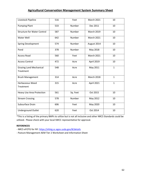| Livestock Pipeline                          | 516 | Feet     | <b>March 2021</b> | 10           |
|---------------------------------------------|-----|----------|-------------------|--------------|
| <b>Pumping Plant</b>                        | 533 | Number   | Dec 2011          | 10           |
| <b>Structure for Water Control</b>          | 587 | Number   | <b>March 2019</b> | 10           |
| Water Well                                  | 642 | Number   | <b>March 2021</b> | 10           |
| <b>Spring Development</b>                   | 574 | Number   | August 2014       | 10           |
| Pond                                        | 378 | Number   | May 2018          | 10           |
| <b>Access Road</b>                          | 560 | Feet     | <b>March 2021</b> | 10           |
| <b>Access Control</b>                       | 472 | Acre     | April 2019        | 10           |
| <b>Grazing Land Mechanical</b><br>Treatment | 548 | Acre     | May 2011          | $\mathbf{1}$ |
| <b>Brush Management</b>                     | 314 | Acre     | <b>March 2018</b> | $\mathbf{1}$ |
| Herbaceous Weed<br>Treatment                | 315 | Acre     | April 2021        | $\mathbf{1}$ |
| Heavy Use Area Protection                   | 561 | Sq. Feet | Oct 2015          | 10           |
| <b>Stream Crossing</b>                      | 578 | Number   | May 2012          | 10           |
| Subsurface Drain                            | 606 | Feet     | May 2020          | 10           |
| <b>Underground Outlet</b>                   | 620 | Feet     | Oct 2014          | 10           |

\*This is a listing of the primary BMPs to utilize but is not all inclusive and other NRCS Standards could be utilized. Please check with your local SWCC representative for approval.

## **REFERENCES**

- NRCS eFOTG for NY:<https://efotg.sc.egov.usda.gov/#/details>

- Pasture Management AEM Tier 2 Worksheet and Information Sheet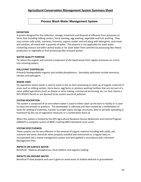## **Process Wash Water Management System**

#### **DEFINITION**

A system designed for the collection, storage, treatment and disposal of effluents from processes on farms that including milking centers, horse washing, egg washing, vegetable and fruit washing. They may contain milk solids, nutrients, liniments, organic matter and soil along with detergents, acid rinses and sanitizer, all mixed with a quantity of water. This practice is not applicable for wash water containing manure and other animal waste or for wash water from commercial processing like cheese production or vegetable or fruit processing (like vineyard waste).

#### **WATER QUALITY PURPOSE**

To reduce the organic and nutrient component of the liquid waste from regular processes on a farm, into receiving waters.

#### **POLLUTANT CONTROLLED**

Primarily biodegradable organics and soluble phosphorous. Secondary pollutants include ammonia, nitrates and pathogens.

#### **WHERE USED**

On operations where water is used to assist in the on-farm processing or clean-up of organic materials in areas such as milking centers, horse barns, egg farms or produce washing facilities that are not part of a value-added operations (such as cheese or wine making, commercial processing, etc.) or that require a NYS SPEDES Permit or are deemed to be a point source of pollution.

#### **SYSTEM DESCRIPTION**

The system is composed of an area where water is used to either clean up the barn or facility or is used to clean the animals or products. The wastewater is collected and then treated by a combination of tanks for settling of materials, transfer to proper waste storage structures, daily or periodic spreading or treatment by the use of vegetative measures or a combination there of.

When this system is funded by the NYS Agricultural Nonpoint Source Abatement and Control Program (ANSACP) a complete system of BMPs meeting NRCS Standards must result.

#### **SYSTEM EFFECTIVENESS**

These systems can be very effective in the removal of organic material including milk solids, soil, nutrients and some chemicals when properly installed and maintained on a regular basis or incorporated into a waste management system and land applied in accordance with a Nutrient Management Plan.

#### **IMPACTS ON SURFACE WATER**

Beneficial - Reduces phosphorous, fecal coliform and organics loading.

#### **IMPACTS ON GROUND WATER**

Beneficial if sited properly and care is given to avoid areas of shallow bedrock or groundwater.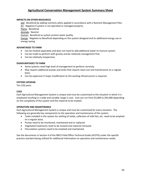### **IMPACTS ON OTHER RESOURCES**

Soil: Beneficial by adding nutrients when applied in accordance with a Nutrient Management Plan. Air: Negative if system is not operated or managed properly.

Plants: Beneficial.

Animals: Neutral.

Human: Beneficial as system protect water quality.

Energy: Negative to Beneficial depending on the system designed and its additional energy use or energy saving.

## **ADVANTAGES TO FARM**

- Can be treated separately and does not need to add additional water to manure system.
- Can be made to perform with gravity and be relatively management free.
- Can be relatively inexpensive.

### **DISADVANTAGES TO FARM**

- Some systems need high level of management to perform correctly.
- May require additional pumps and tanks that require clean-out and maintenance on a regular basis.
- Can be expensive if major modification to the existing infrastructure is required.

#### **SYSTEM LIFESPAN**

Ten (10) years.

## **COST**

Each Agricultural Management System is unique and must be customized to the situation in which it is employed resulting in a wide and variable range in cost. Cost can run from \$3,000 to \$45,000 depending on the complexity of the system and the material to be treated.

#### **OPERATION AND MAINTENANCE**

Each Agricultural Management System is unique and must be customized for every situation. The following are generally key components to the operation and maintenance of the system:

- Tanks installed in the system for settling of solids, collection of milk fats, etc. need to be emptied on a regular basis.
- Pumps need to be monitored, maintained and or replaced.
- Vegetated treatments need to be mowed and material removed.
- Flocculation systems need to be emptied and maintained.

See the documents in Section 4 of the NRCS Field Office Technical Guide (eFOTG) under the specific practice standard being utilized for additional information on operation and maintenance needs.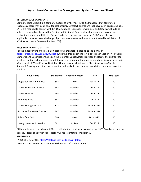### **MISCELLANEOUS COMMENTS**

Components that result in a complete system of BMPs meeting NRCS Standards that eliminate a resource concern may be eligible for cost-sharing. Livestock operations that have been designated as a CAFO are required to comply with CAFO regulations. Compliance with local and state laws should be adhered to including the need for Erosion and Sediment Control plans for disturbances over 1 acre, contacting Underground Utilities Protection before excavation, contacting SHPO and others as applicable. In some cases, discharge of process wastewater to the surface untreated is a violation of NYS Environmental Conservation Law (ECL).

## **NRCS STANDARDS TO UTILIZE\***

For the most current information on each NRCS Standard, please go to the eFOTG at [https://efotg.sc.egov.usda.gov/#/details,](https://efotg.sc.egov.usda.gov/#/details) use the drop box in the left side to reach Section IV – Practice Standards and Specifications, click on the folder for Conservation Practices and locate the appropriate practice. Under each practice, you will find, at the minimum, the practice standard. You may also find: a Statement of Work; Practice Guideline; Operation and Maintenance Plan; Specification Sheet; Standard Drawing; and other document that will assist in the planning, installation or operation of the practice.

| <b>NRCS Name</b>                   | Standard # | <b>Reportable Item</b> | Date              | Life Span |
|------------------------------------|------------|------------------------|-------------------|-----------|
| <b>Vegetated Treatment Area</b>    | 635        | Acres                  | Feb 2017          | 10        |
| <b>Waste Separation Facility</b>   | 632        | Number                 | Oct 2013          | 10        |
| <b>Waste Transfer</b>              | 634        | Number                 | Oct 2015          | 10        |
| <b>Pumping Plant</b>               | 533        | Number                 | Dec 2011          | 10        |
| <b>Waste Storage Facility</b>      | 313        | Number                 | <b>March 2018</b> | 10        |
| <b>Structure for Water Control</b> | 587        | Number                 | <b>March 2019</b> | 10        |
| Subsurface Drain                   | 606        | Feet                   | May 2020          | 10        |
| <b>Heavy Use Area Protection</b>   | 561        | Sq. Feet               | Oct 2015          | 10        |

\*This is a listing of the primary BMPs to utilize but is not all inclusive and other NRCS Standards could be utilized. Please check with your local SWCC representative for approval.

## **REFERENCES**

- NRCS eFOTG for NY: <https://efotg.sc.egov.usda.gov/#/details>

- Process Wash Water AEM Tier 2 Worksheet and Information Sheet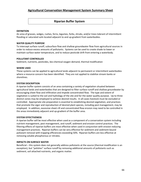## **Riparian Buffer System**

#### **DEFINITION**

An area of grasses, sedges, rushes, ferns, legumes, forbs, shrubs, and/or trees tolerant of intermittent flooding or saturated soils located adjacent to and up-gradient from waterbodies.

#### **WATER QUALITY PURPOSE**

To intercept surface runoff, subsurface flow and shallow groundwater flow from agricultural sources in order to reduce excess amounts of pollutants. Systems can be used to create shade to lower or maintain surface water temperature, and to reduce pesticide drift from entering a waterbody.

#### **POLLUTANT CONTROLLED**

Sediment, nutrients, pesticides, bio-chemical oxygen demand, thermal modification

#### **WHERE USED**

These systems can be applied to agricultural lands adjacent to permanent or intermittent waterbodies where a resource concern has been identified. They are not applied to stabilize stream banks or shorelines.

#### **SYSTEM DESCRIPTION**

A riparian buffer system consists of an area containing a variety of vegetation situated between agricultural lands and waterbodies that are designed to filter surface runoff and shallow groundwater by encouraging sheet flow and infiltration and impede concentrated flow. The type and extent of vegetation is suited to the soil and hydrology of the site and for the water quality purpose. Up to three distinct zones may be employed to achieve desired results. In all cases livestock must be excluded or controlled. Appropriate site preparation is essential to establishing desired vegetation, and practices that promote the vigor and reproduction of desired plant species, including pest management, may be employed. In addition, excessive sheet-rill and concentrated flow erosion may need to be controlled in the areas immediately adjacent and up-gradient of the buffer area.

#### **SYSTEM EFFECTIVENESS**

A riparian buffer will be most effective when used as a component of a conservation system including nutrient management, pest management, and runoff, sediment and erosion control practices. The filtering effects of riparian buffers are most effective when used in conjunction with erosion reducing management practices. Riparian buffers can be very effective for sediment and sediment-bound pollutant removal with trapping efficiencies exceeding 50%. Riparian buffers are less effective at removing soluble phosphorous or nitrates.

#### **IMPACTS ON SURFACE WATER**

Beneficial – this system does not generally address pollutants at the source (thermal modification is an exception), but "polishes" surface runoff by removing additional amounts of pollutants such as sediment, soil attached nutrients, and organic matter.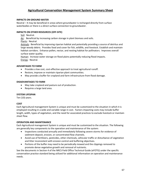#### **IMPACTS ON GROUND WATER**

Neutral – It may be beneficial in areas where groundwater is recharged directly from surface waterbodies or there is a direct surface connection to groundwater.

#### **IMPACTS ON OTHER RESOURCES (OFF-SITE)**

Soil: Neutral.

Air: Beneficial by increasing carbon storage in plant biomass and soils.

Plants: Neutral.

Animals: Beneficial by improving riparian habitat and potentially providing a source of detritus and large woody debris. Provides food and cover for fish, wildlife, and livestock. Establish and maintain habitat corridors. Enhance pollen, nectar, and nesting habitat for pollinators. Improves overall surface water quality.

Human: Increase water storage on flood plains potentially reducing flood impacts. Energy: Neutral.

#### **ADVANTAGES TO FARM**

- Provides a low cost, cost-effective approach to treat agricultural runoff.
- Restore, improve or maintain riparian plant communities.
- May provide a buffer for cropland and farm infrastructure from flood damage.

#### **DISADVANTAGES TO FARM**

- May take cropland and pasture out of production.
- Requires a large land area.

#### **SYSTEM LIFESPAN**

Ten (10) years.

#### **COST**

Each Agricultural management System is unique and must be customized to the situation in which it is employed resulting in a wide and variable range in cost. Factors impacting costs may include buffer length, width, types of vegetation, and the need for associated practices to exclude livestock or maintain sheet flow.

#### **OPERATION AND MAINTENANCE**

Each Agricultural management System is unique and must be customized to the situation. The following are generally key components to the operation and maintenance of the system:

- Inspections conducted annually and immediately following severe storms for evidence of sediment deposit, erosion, or concentrated flow channels.
- Avoid use of fertilizers, pesticides, other chemicals, vehicular traffic or disturbance of vegetation and litter inconsistent with erosion control and buffering objectives.
- Portions of the buffer may need to be periodically mowed and the clippings removed to promote dense vegetative growth and removal of nutrients.

See the documents in Section 4 of the NRCS Field Office Technical Guide (eFOTG) under the specific conservation practice standard being utilized for additional information on operation and maintenance needs.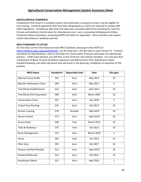#### **MISCELLANEOUS COMMENTS**

Components that result in a complete system that eliminates a resource concern may be eligible for cost-sharing. Livestock operations that have been designated as a CAFO are required to comply with CAFO regulations. Compliance with local and state laws should be adhered to including the need for Erosion and Sediment Control plans for disturbances over 1 acre, contacting Underground Utilities Protection before excavation, contacting SHPO and others as applicable. Some activities may require stream disturbance or wetlands permits.

#### **NRCS STANDARDS TO UTILIZE**

For the most current information on each NRCS Standard, please go to the eFOTG at [https://efotg.sc.egov.usda.gov/#/details,](https://efotg.sc.egov.usda.gov/#/details) use the drop box in the left side to reach Section IV – Practice Standards and Specifications, click on the folder for Conservation Practices and locate the appropriate practice. Under each practice, you will find, at the minimum, the practice standard. You may also find: a Statement of Work; Practice Guideline; Operation and Maintenance Plan; Specification Sheet; Standard Drawing; and other document that will assist in the planning, installation or operation of the practice.

| <b>NRCS Name</b>              | <b>Standard #</b> | <b>Reportable Item</b> | <b>Date</b>       | Life Span    |
|-------------------------------|-------------------|------------------------|-------------------|--------------|
| <b>Riparian Forest Buffer</b> | 391               | Acre                   | May 2011          | 10           |
| Riparian Herbaceous Cover     | 390               | Acre                   | May 2011          | 5            |
| Tree/Shrub Establishment      | 612               | Acre                   | April 2017        | 10           |
| Tree/Shrub Site Preparation   | 490               | Acre                   | <b>March 2007</b> | 10           |
| <b>Conservation Cover</b>     | 327               | Acre                   | <b>July 2019</b>  | 5            |
| <b>Critical Area Planting</b> | 342               | Acre                   | Oct 2017          | 10           |
| <b>Stream Crossing</b>        | 578               | Number                 | May 2012          | 10           |
| <b>Access Control</b>         | 472               | Acre                   | April 2019        | 10           |
| <b>Access Road</b>            | 560               | Feet                   | <b>March 2021</b> | 10           |
| Trails & Walkways             | 575               | Feet                   | Oct 2015          | 10           |
| <b>Brush Management</b>       | 314               | Acre                   | <b>March 2018</b> | $\mathbf{1}$ |
| Fence                         | 382               | Feet                   | Oct 2014          | 10           |
| <b>Filter Strip</b>           | 393               | Acre                   | Oct 2017          | 10           |
| Pasture and Hay Planting      | 512               | Acre                   | Sept 2010         | 10           |
| <b>Grassed Waterway</b>       | 412               | Acre                   | Oct 2015          | 10           |
| <b>Herbaceous Weed</b>        | 315               | Acre                   | April 2021        | $\mathbf{1}$ |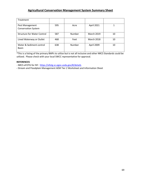| Treatment                                     |     |        |                   |    |
|-----------------------------------------------|-----|--------|-------------------|----|
| Pest Management<br><b>Conservation System</b> | 595 | Acre   | April 2021        |    |
| <b>Structure for Water Control</b>            | 587 | Number | <b>March 2019</b> | 10 |
| Lined Waterway or Outlet                      | 468 | Feet   | <b>March 2018</b> | 10 |
| Water & Sediment control<br><b>Basin</b>      | 638 | Number | April 2009        | 10 |

\*This is a listing of the primary BMPs to utilize but is not all inclusive and other NRCS Standards could be utilized. Please check with your local SWCC representative for approval.

## **REFERENCES**

- NRCS eFOTG for NY: <https://efotg.sc.egov.usda.gov/#/details>

**-** Stream and Floodplain Management AEM Tier 2 Worksheet and Information Sheet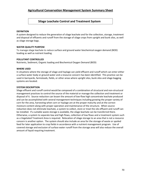## **Silage Leachate Control and Treatment System**

### **DEFINITION**

A system designed to reduce the generation of silage leachate and for the collection, storage, treatment and disposal of effluents and runoff from the storage of silage crops from upright and bunk silos, as well as silage storage bags.

## **WATER QUALITY PURPOSE**

To manage silage leachate to reduce surface and ground water biochemical oxygen demand (BOD) loading as well as nutrient loading.

#### **POLLUTANT CONTROLLED**

Nutrients, Sediment, Organic loading and Biochemical Oxygen Demand (BOD)

#### **WHERE USED**

In situations where the storage of silage and haylage can yield effluent and runoff which can enter either a surface water body or ground water and a resource concern has been identified. This practice can be used in barnyards, farmsteads, fields, or other areas where upright silos, bunk silos and silage bagging systems are located.

## **SYSTEM DESCRIPTION**

Silage effluent and runoff control would be composed of a combination of structural and non-structural management practices to control the source of the material or manage the collection and treatment or disposal of it. Source reduction can lessen the amount of low-flow high concentrate leachate produced and can be accomplished with several management techniques including growing the proper variety of corn for the area, harvesting when corn or haylage are at the proper maturity and at the correct moisture content along with proper operation and maintenance of the structure. When source reduction does not eliminate leachate, a system to collect, store or treat the silo effluent and runoff can be installed. If a suitable waste storage is available, the silage leachate can be transferred there. Otherwise, a system to separate low and high flows, collection of low flows and a treatment system such as a Vegetated Treatment Area is required. Relocation of silage storage to an area that is not a resource concern is another option. The system should also include an area for the storage of waste or spoiled feed for later application to crop fields in accordance with a nutrient management program. Use of covered storage and exclusion of surface water runoff from the storage area will also reduce the overall amount of liquid requiring treatment.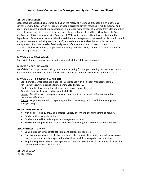## **SYSTEM EFFECTIVENESS**

Silage leachate exerts a high organic loading on the receiving water and produces a high Biochemical Oxygen Demand (BOD) which will deplete available dissolved oxygen resulting in fish kills, tastes and odors, and a general unaesthetic appearance. The proper management of leachate from silos and other types of storage facilities can significantly reduce these problems. In addition, Silage Leachate Control and Treatment Systems may provide Component BMPs which may greatly reduce or eliminate the degradation of clean water entering the site, stabilize the management area to reduce disturbed ground and/or access roads (reducing erosion, runoff, and sedimentation), allow better collection and management of waste or spoiled feed, and greatly influence the overall source of potential contaminates by incorporating proper feed harvesting and feed storage practices, as well as end use feed management practices.

## **IMPACTS ON SURFACE WATER**

Beneficial - Reduces organic loading and resultant depletion of dissolved oxygen.

## **IMPACTS ON GROUND WATER**

Beneficial - The oxygen depletion in ground water resulting from organic loading can cause bad odors and tastes which may be sustained for extended periods of time due to very low re-aeration rates.

## **IMPACTS ON OTHER RESOURCES (OFF-SITE)**

Soil: Beneficial when leachate is applied in accordance with a Nutrient Management Plan.

Air: Negative is system is not operated or managed properly.

Plants: Beneficial by eliminating kill zones and correct application rates.

Animals: Beneficial – protects fish from high BOD.

Human: Beneficial as system protects water quality but can be negative if not operated or maintained effectively.

Energy: Negative to Beneficial depending on the system design and its additional energy use or energy saving.

## **ADVANTAGES TO FARM**

- May be corrected by growing a different variety of corn and changing timing of harvest.
- Can be built as a gravity system.
- Can be plumbed into existing waste management system.
- The system design includes an area for waste feed storage for utilization as a nutrient source.

## **DISADVANTAGES TO FARM**

- Can be expensive if separate collection and storage are required.
- Due to amino acid content of silage leachate, collection facilities should be made of corrosion resistant material and land application should be carefully managed to prevent kill-off.
- Require heightened level of management as run-off is precipitation driven and solid separation can require frequent maintenance.

## **SYSTEM LIFESPAN**

Ten (10) years.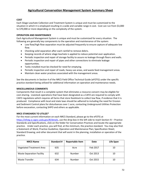## **COST**

Each Silage Leachate Collection and Treatment System is unique and must be customized to the situation in which it is employed resulting in a wide and variable range in cost. Cost can run from \$3,000 to \$70,000 or more depending on the complexity of the system.

## **OPERATION AND MAINTENANCE**

Each Agricultural Management System is unique and must be customized for every situation. The following are generally key components to the operation and maintenance of the system:

- Low flow/high flow separation must be adjusted frequently to ensure capture of adequate low flow.
- Checking solid separation after each rainfall to remove debris.
- Keeping records of where silage leachate is applied to reduce potential over application.
- Periodic inspection and repair of storage facility to assure no leakage through floors and walls.
- Periodic inspection and repair of pipes and other connections to eliminate leakage opportunities.
- Tanks installed must be checked for need for emptying.
- Periodic inspection and repair of roads, heavy use areas, and waste feed management areas.
- Maintain clean water practices associated with the management areas.

See the documents in Section 4 of the NRCS Field Office Technical Guide (eFOTG) under the specific practice standard being utilized for additional information on operation and maintenance needs.

## **MISCELLANEOUS COMMENTS**

Components that result in a complete system that eliminates a resource concern may be eligible for cost-sharing. Livestock operations that have been designated as a CAFO are required to comply with CAFO regulations which requires all farms that store feedstock to collect low flow, if evidence that it is produced. Compliance with local and state laws should be adhered to including the need for Erosion and Sediment Control plans for disturbances over 1 acre, contacting Underground Utilities Protection before excavation, contacting SHPO and others as applicable.

## **NRCS STANDARDS TO UTILIZE\***

For the most current information on each NRCS Standard, please go to the eFOTG at [https://efotg.sc.egov.usda.gov/#/details,](https://efotg.sc.egov.usda.gov/#/details) use the drop box in the left side to reach Section IV – Practice Standards and Specifications, click on the folder for Conservation Practices and locate the appropriate practice. Under each practice, you will find, at the minimum, the practice standard. You may also find: a Statement of Work; Practice Guideline; Operation and Maintenance Plan; Specification Sheet; Standard Drawing; and other document that will assist in the planning, installation or operation of the practice.

| <b>NRCS Name</b>                 | Standard # | <b>Reportable Item</b> | Date     | Life Span |
|----------------------------------|------------|------------------------|----------|-----------|
| <b>Vegetated Treatment Area</b>  | 635        | Acre                   | Feb 2017 | 10        |
| <b>Waste Separation Facility</b> | 632        | Number                 | Oct 2013 | 10        |
| <b>Waste Transfer</b>            | 634        | Number                 | Oct 2015 | 10        |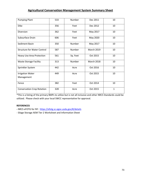| <b>Pumping Plant</b>                  | 533 | Number   | Dec 2011          | 10           |
|---------------------------------------|-----|----------|-------------------|--------------|
| <b>Dike</b>                           | 356 | Feet     | Dec 2012          | 10           |
| <b>Diversion</b>                      | 362 | Feet     | May 2017          | 10           |
| Subsurface Drain                      | 606 | Feet     | May 2020          | 10           |
| Sediment Basin                        | 350 | Number   | May 2017          | 10           |
| <b>Structure for Water Control</b>    | 587 | Number   | <b>March 2019</b> | 10           |
| Heavy Use Area Protection             | 561 | Sq. Feet | Oct 2015          | 10           |
| <b>Waste Storage Facility</b>         | 313 | Number   | <b>March 2018</b> | 10           |
| Sprinkler System                      | 442 | Acre     | Oct 2016          | 10           |
| <b>Irrigation Water</b><br>Management | 449 | Acre     | Oct 2015          | 10           |
| Fence                                 | 382 | Feet     | Oct 2014          | 10           |
| <b>Conservation Crop Rotation</b>     | 328 | Acre     | Oct 2015          | $\mathbf{1}$ |

\*This is a listing of the primary BMPs to utilize but is not all inclusive and other NRCS Standards could be utilized. Please check with your local SWCC representative for approval.

## **REFERENCES**

**-** NRCS eFOTG for NY: <https://efotg.sc.egov.usda.gov/#/details>

- Silage Storage AEM Tier 2 Worksheet and Information Sheet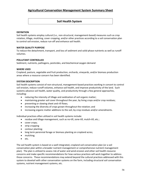## **Soil Health System**

#### **DEFINITION**

Soil health systems employ cultural (i.e., non-structural, management-based) measures such as crop rotation, tillage, mulching, cover cropping, and/or other practices according to a soil conservation plan to control soil erosion, reduce run-off and enhance soil health.

#### **WATER QUALITY PURPOSE**

To reduce the detachment, transport, and loss of sediment and solid-phase nutrients as well as runoff volumes.

#### **POLLUTANT CONTROLLED**

Sediment, nutrients, pathogens, pesticides, and biochemical oxygen demand

#### **WHERE USED**

Cropland, pasture, vegetable and fruit production, orchards, vineyards, and/or biomass production areas where a resource concern has been identified.

#### **SYSTEM DESCRIPTION**

Soil health systems consist of non-structural, management-based practices working in concert to control soil erosion, reduce runoff volumes, enhance soil health, and improve productivity of the land. Such systems advance soil health, water quality, and productivity through a few general approaches, including:

- reducing the intensity of tillage and oxidization of soil organic matter;
- maintaining greater soil cover throughout the year, by living crops and/or crop residues;
- preventing or slowing sheet and rill flows;
- increasing the diversity of crops grown throughout the rotation; and
- increasing organic matter additions to the soil, by crop residues and/or amendments.

Individual practices often utilized in soil health systems include:

- residue and tillage management, such as no-till, zone-till, mulch-till, etc.;
- cover crops;
- strip cropping
- contour planting;
- long term perennial forage or biomass planting on cropland acres;
- mulching;
- etc.

The soil health system is based on a well integrated, cropland soil conservation plan (or a soil conservation plan within a broader nutrient management or comprehensive nutrient management plan). The plan is utilized to assess risk of water and wind erosion and other soil health resource concerns and make specific recommendations for how various practices will work together to address those concerns. These recommendations may extend beyond the cultural practices addressed with this system to dovetail with other conservation systems on the farm, including structural soil conservation systems, nutrient management systems, etc.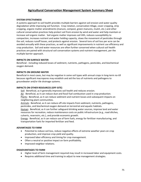#### **SYSTEM EFFECTIVENESS**

A systems approach to soil health provides multiple barriers against soil erosion and water quality degradation while improving soil function. Crop rotation, conservation tillage, cover cropping, strip cropping, organic matter amendments (manure, compost, green manures, mulch, etc.) and other cultural conservation practices help protect soil from erosion by wind and water and help maintain or increase soil organic matter. Soil organic matter improves soil tilth, reduces susceptibility to compaction, increases nutrient and water holding capacity, slows the movement of pesticides through the soil, reduces runoff losses, and protects against erosion. Several tons of soil loss per acre can be avoided annually with these practices, as well as significant improvements in nutrient use efficiency and crop production. Soil and water resources are often further conserved when cultural soil health practices are paired with structural soil conservation systems and nutrient management, per the multiple barrier approach.

## **IMPACTS ON SURFACE WATER**

Beneficial - including reduced losses of sediment, nutrients, pathogens, pesticides, and biochemical oxygen demand.

#### **IMPACTS ON GROUND WATER**

Beneficial in most cases, but may be negative in some soil types with annual crops in long-term no-till because significant macropores may establish and aid the loss of nutrients and pathogens to groundwater and/or tile drainage systems.

#### **IMPACTS ON OTHER RESOURCES (OFF-SITE)**

Soil: Beneficial, as it generally improves soil health and reduces erosion.

Air: Beneficial, as it can reduce dust and fossil fuel combustion used in crop production. Plants: Beneficial, as it can reduce sediment and nutrient losses and subsequent impacts on neighboring plant communities.

Animals: Beneficial, as it can reduce off-site impacts from sediment, nutrients, pathogens, pesticides, and biochemical oxygen demand on terrestrial and aquatic habitats.

Human: Beneficial, as it can further safeguard drinking water sources, improve land and water resources for recreation, reduce maintenance costs on public infrastructure (e.g., road ditches, culverts, reservoirs, etc.), and provide economic growth.

Energy: Beneficial, as it can reduce use of farm fuels, energy for fertilizer manufacturing, and transportation fuels for imported fertilizer and feed.

#### **ADVANTAGES TO FARM**

- Potential to reduce soil loss, reduce negative effects of extreme weather years on crop production, and improve crop yield and quality.
- Improved labor efficiency and timing for crop management.
- Often a neutral or positive impact on farm profitability.
- Improved neighbor relations.

## **DISADVANTAGES TO FARM**

- Higher level of farm management required may result in increased labor and equipment costs.
- Requires additional time and training to adjust to new management strategies.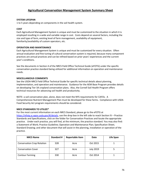## **SYSTEM LIFESPAN**

1 to 5 years depending on components in the soil health system.

## **COST**

Each Agricultural Management System is unique and must be customized to the situation in which it is employed resulting in a wide and variable range in cost. Costs depend on several factors, including the size and type of farm, existing level of farm management, availability of equipment, familiarity/availability of custom operators, etc.

## **OPERATION AND MAINTENANCE**

Each Agricultural Management System is unique and must be customized for every situation. Often annual evaluation and fine tuning of cultural conservation system is required, because many component practices are annual practices and can be refined based on prior years' experiences and the current year's conditions.

See the documents in Section 4 of the NRCS Field Office Technical Guide (eFOTG) under the specific conservation practice standard being utilized for additional information on operation and maintenance needs.

## **MISCELLANEOUS COMMENTS**

See the USDA-NRCS Field Office Technical Guide for specific technical details about planning, implementation, and operation and maintenance. Guidance for the AEM Base Program provides details on developing Tier 3A cropland conservation plans. Also, the Cornell Soil Health Program offers technical resources for advancing soil health and productivity.

NOTE: a soil conservation plan, alone, does not meet the NYS requirements for CAFOs. A Comprehensive Nutrient Management Plan must be developed for these farms. Compliance with USDA Food Security Act program requirements should be considered.

## **NRCS STANDARDS TO UTILIZE\***

For the most current information on each NRCS Standard, please go to the eFOTG at [https://efotg.sc.egov.usda.gov/#/details,](https://efotg.sc.egov.usda.gov/#/details) use the drop box in the left side to reach Section IV – Practice Standards and Specifications, click on the folder for Conservation Practices and locate the appropriate practice. Under each practice, you will find, at the minimum, the practice standard. You may also find: a Statement of Work; Practice Guideline; Operation and Maintenance Plan; Specification Sheet; Standard Drawing; and other document that will assist in the planning, installation or operation of the practice.

| <b>NRCS Name</b>                  | Standard # | <b>Reportable Item</b> | Date             | Life Span |
|-----------------------------------|------------|------------------------|------------------|-----------|
| <b>Conservation Crop Rotation</b> | 328        | Acre                   | Oct 2015         |           |
| <b>Conservation Cover</b>         | 327        | Acre                   | <b>July 2019</b> |           |
| <b>Contour Farming</b>            | 330        | Acre                   | Oct 2014         |           |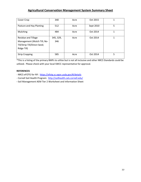| Cover Crop                                                                                        | 340              | Acre | Oct 2015  |   |
|---------------------------------------------------------------------------------------------------|------------------|------|-----------|---|
| Pasture and Hay Planting                                                                          | 512              | Acre | Sept 2010 | 5 |
| Mulching                                                                                          | 484              | Acre | Oct 2014  |   |
| Residue and Tillage<br>Management (Mulch Till; No-<br>Till/Strip-Till/Direct Seed;<br>Ridge Till) | 345, 329,<br>346 | Acre | Oct 2014  | 1 |
| <b>Strip Cropping</b>                                                                             | 585              | Acre | Oct 2014  | 5 |

\*This is a listing of the primary BMPs to utilize but is not all inclusive and other NRCS Standards could be utilized. Please check with your local SWCC representative for approval.

## **REFERENCES**

- NRCS eFOTG for NY: <https://efotg.sc.egov.usda.gov/#/details>

- Cornell Soil Health Program: <http://soilhealth.cals.cornell.edu/>
- **-** Soil Management AEM Tier 2 Worksheet and Information Sheet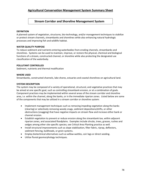## **Stream Corridor and Shoreline Management System**

## **DEFINITION**

A planned system of vegetation, structures, bio-technology, and/or management techniques to stabilize or protect stream channels, streambanks and shorelines while also enhancing natural hydrologic processes and improving fish and wildlife habitat.

## **WATER QUALITY PURPOSE**

To reduce sediment and nutrients entering waterbodies from eroding channels, streambanks and shorelines. Systems can be used to maintain, improve, or restore the physical, chemical and biological functions of a stream, constructed channel, or shoreline while also protecting the designated use classification of the waterbody.

## **POLLUTANT CONTROLLED**

Sediment, nutrients and thermal modification

#### **WHERE USED**

Streambanks, constructed channels, lake shores, estuaries and coastal shorelines on agricultural land.

## **SYSTEM DESCRIPTION**

The system may be composed of a variety of operational, structural, and vegetative practices that may be aimed at one specific goal, such as controlling streambank erosion, or at a combination of goals. Component practices may be implemented within several areas of the stream corridor and shoreline area, i.e. within the channel, along the banks, or in the immediate riparian zones. Listed below are some of the components that may be utilized in a stream corridor or shoreline system:

- Implement management techniques such as removing impeding vegetation along the banks (clearing) or selectively removing woody snags, sediment depositions/drifts, or other obstructions (snagging) that have negative impacts on stream flow and increase either bank or channel erosion.
- Establish vegetation to prevent or reduce erosion along the streambank toe, within adjacent riparian zones, and associated floodplains. Examples include shrubs, trees, grasses, rushes and sedges among other site-specific species; see Critical Area Planting practice as well.
- Install structural improvements such as slope stabilization, filter fabric, riprap, deflectors, sediment fencing, bulkheads, or groin systems.
- Employ biotechnical alternatives such as willow wattles, coir logs or direct seeding.
- Utilize fluvial geomorphology techniques.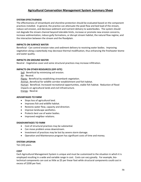#### **SYSTEM EFFECTIVENESS**

The effectiveness of streambank and shoreline protection should be evaluated based on the component practices installed. In general, the practice can attenuate the peak flow and bed load of the stream, reduce soil erosion, and decrease sediment and nutrient delivery to waterbodies. The system should not degrade the stream channel beyond tolerable limits, increase or promote new erosion concerns, increase sedimentation, induce gully formations, or disrupt stream habitat, the natural flow regime, and the interaction between the stream and the floodplain.

#### **IMPACTS ON SURFACE WATER**

Beneficial - Can control erosion rates and sediment delivery to receiving water bodies. Improving vegetation along a waterbody may decrease thermal modification, thus enhancing the freshwater biome and water quality.

#### **IMPACTS ON GROUND WATER**

Neutral - Vegetative cover and some structural practices may increase infiltration.

## **IMPACTS ON OTHER RESOURCES (OFF-SITE)**

Soil: Beneficial by minimizing soil erosion. Air: Neutral. Plants: Beneficial by establishing streambank vegetation. Animal: Beneficial for wildlife corridor establishment and fish habitat. Human: Beneficial. Increased recreational opportunities, stable fish habitat. Reduction of flood impacts on agricultural lands and civil infrastructure. Energy: Neutral.

#### **ADVANTAGES TO FARM**

- Stops loss of agricultural land.
- Improves fish and wildlife habitat.
- Restores water flow, capacity and direction.
- Improve landscape aesthetics.
- Protects best use of water bodies.
- Improved neighbor relations.

#### **DISADVANTAGES TO FARM**

- Cost of structural practices may be substantial.
- Can move problem areas downstream.
- Investment of practices may be lost by severe storm damage.
- Operation and Maintenance program has significant costs of time and money.

#### **SYSTEM LIFESPAN**

Ten (10) years.

## **COST**

Each Agricultural Management System is unique and must be customized to the situation in which it is employed resulting in a wide and variable range in cost. Costs can vary greatly. For example, biotechnical components can cost as little as \$5 per linear foot while structural components could cost in excess of \$200 per foot.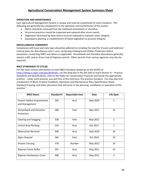## **OPERATION AND MAINTENANCE**

Each Agricultural Management System is unique and must be customized for every situation. The following are generally key components to the operation and maintenance of the system

- Debris should be removed from the stabilized streambank or shoreline.
- Structural practices should be inspected and repaired after storm events.
- Vegetation destroyed by bank failure must be replaced to maintain cover integrity.
- Subsequent planting or establishment of failed vegetation to practice integrity.

## **MISCELLANEOUS COMMENTS**

Compliance with local and state laws should be adhered to including the need for Erosion and Sediment Control plans for disturbances over 1 acre, contacting Underground Utilities Protection before excavation, contacting SHPO and others as applicable. Streambank and shoreline disturbance generally require a DEC and or Army Corp of Engineer permit. Other permits from various agencies may also be required.

## **NRCS STANDARDS TO UTILIZE**

For the most current information on each NRCS Standard, please go to the eFOTG at [https://efotg.sc.egov.usda.gov/#/details,](https://efotg.sc.egov.usda.gov/#/details) use the drop box in the left side to reach Section IV – Practice Standards and Specifications, click on the folder for Conservation Practices and locate the appropriate practice. Under each practice, you will find, at the minimum, the practice standard. You may also find: a Statement of Work; Practice Guideline; Operation and Maintenance Plan; Specification Sheet; Standard Drawing; and other document that will assist in the planning, installation or operation of the practice."

| <b>NRCS Name</b>                              | <b>Standard #</b> | <b>Reportable Item</b> | <b>Date</b> | Life Span |
|-----------------------------------------------|-------------------|------------------------|-------------|-----------|
| Stream Habitat Improvement<br>and Management  | 395               | Acre                   | Sept 2020   | 5         |
| <b>Streambank and Shoreline</b><br>Protection | 580               | Feet                   | May 2011    | 10        |
| <b>Clearing and Snagging</b>                  | 326               | Feet                   | May 2011    | 1         |
| <b>Critical Area Planting</b>                 | 342               | Acre                   | Oct 2017    | 1         |
| <b>Obstruction Removal</b>                    | 500               | Acre                   | Sept 2010   | 10        |
| Open Channel                                  | 582               | Feet                   | Oct 2016    | 10        |
| <b>Stream Crossing</b>                        | 578               | Number                 | May 2012    | 10        |
| Riparian Forest Buffer                        | 391               | Acre                   | May 2011    | 10        |
| Riparian Herbaceous Cover                     | 390               | Acre                   | May 2011    | 5         |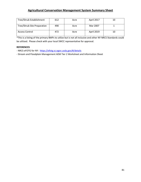| Tree/Shrub Establishment    | 612 | Acre | April 2017        | 10 |
|-----------------------------|-----|------|-------------------|----|
| Tree/Shrub Site Preparation | 490 | Acre | Mar 2007          |    |
| <b>Access Control</b>       | 472 | Acre | <b>April 2019</b> | 10 |

\*This is a listing of the primary BMPs to utilize but is not all inclusive and other NY NRCS Standards could be utilized. Please check with your local SWCC representative for approval.

## **REFERENCES**

- NRCS eFOTG for NY: <https://efotg.sc.egov.usda.gov/#/details>

- Stream and Floodplain Management AEM Tier 2 Worksheet and Information Sheet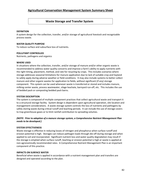## **Waste Storage and Transfer System**

## **DEFINITION**

A system design for the collection, transfer, and/or storage of agricultural livestock and recognizable process waste.

#### **WATER QUALITY PURPOSE**

To reduce surface and subsurface loss of nutrients.

## **POLLUTANT CONTROLLED**

Nutrients, pathogens and organics

#### **WHERE USED**

In situations where the collection, transfer, and/or storage of manure and/or other organic waste is recommended to address water quality concerns and improve a farm's ability to apply nutrients with the right timing, placement, method, and rate for recycling by crops. This includes scenarios where storage addresses seasonal limitations for manure application due to lack of suitable crop and hayland to safely apply during adverse weather or field conditions. It may also include systems to better collect manure and other organic wastes for application to fields, without significant (if any) storage component. This system can be used whenever waste is transferred or stored and includes manure, milking center waste, process wastewater, silage leachate, barnyard run-off, etc. This includes the use of bedded pack or composting bedded pack barns.

#### **SYSTEM DESCRIPTION**

The system is composed of multiple component practices that collect agricultural waste and transport it to a structural storage facility. System design is dependent upon agricultural operation, site location and management considerations. A waste storage system controls the loss of nutrients and pathogens by safely storing waste during critical runoff and leaching periods. It can include the use of storage covers to trap greenhouse gases or to limit rainfall contribution to spreading volumes.

## *(NOTE: Prior to adoption of a manure storage system, a Comprehensive Nutrient Management Plan needs to be developed.)*

#### **SYSTEM EFFECTIVENESS**

Waste storage is effective in reducing losses of nitrogen and phosphorus when surface runoff and erosion potential is high. Storages can reduce pathogen loads through die-off during storage and when applied to soil and incorporated. Significant nutrient loss and water quality degradation may result if the storage is emptied when surface runoff, leaching or erosion potential is high or waste is applied at non-agronomically recommended rates. A Comprehensive Nutrient Management Plan is an important component of this practice.

#### **IMPACTS ON SURFACE WATER**

Beneficial when waste is applied in accordance with a nutrient management plan and transfers are designed and operated according to the plan.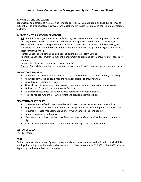## **IMPACTS ON GROUND WATER**

Beneficial as applications of waste can be timed to coincide with plant uptake and not during times of nutrient loss to groundwater. However, care must be taken in site selection and construction of storage facilities.

## **IMPACTS ON OTHER RESOURCES (OFF-SITE)**

Soil: Beneficial as organic waste can replenish organic matter in the soil and improve soil health. Air: Negative or beneficial. When waste is stored and applied a certain times of the year, odor issues increase for that time period unless incorporation of waste is utilized. But conversely, by storing waste, odors are not created when daily spread. Covers trap greenhouse gases and collect them for flaring or use.

Plants: Beneficial as nutrients can be applied during times of plant uptake.

Animals: Beneficial as improved nutrient management on cropland can improve habitat (especially aquatic).

Human: Beneficial as system protect water quality.

Energy: Beneficial depending on the system designed and its additional energy use or energy saving.

## **ADVANTAGES TO FARM**

- Allows for spreading at certain times of the year and eliminated the need for daily spreading.
- Allows for semi-solid or liquid manure which lends itself to gravity systems.
- Can allow for irrigation of waste.
- Allows livestock manure and other waste to be treated as a resource rather than a waste.
- Reduces cost for purchased, commercial fertilizer.
- Can improve aesthetics and relations with neighbors if managed properly.
- Helps to reduce nutrient loss when runoff and erosion potential is high.

## **DISADVANTAGES TO FARM**

- Can be expensive if soils are not suitable and liners or other materials need to be utilized.
- Require increased level of management and manpower especially during times of application.
- Requires increased management and energy when sand is used for bedding.
- Requires frequent maintenance.
- May result in significant nutrient loss if emptied when surface runoff and erosion potential is high.
- May cause serious damage to streams and fish if storage structure leaks or fail.

## **SYSTEM LIFESPAN**

Ten (10) years.

## **COST**

Each Agricultural Management System is unique and must be customized to the situation in which it is employed resulting in a wide and variable range in cost. Cost can run from \$30,000 to \$400,000 or more depending on the complexity of the system.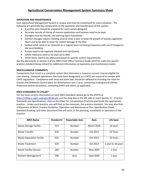## **OPERATION AND MAINTENANCE**

Each Agricultural Management System is unique and must be customized for every situation. The following are generally key components to the operation and maintenance of the system:

- A written plan should be prepared for each system designed.
- Accurate records of timing of manure application and location need to be kept.
- Storages must be fenced, and warning signs maintained.
- Earthen storages require mowing several times a year to keep the growth of woody vegetation down and to be able to scout for rodent damage of the dike.
- Settled solids need to be removed on a regular basis increasing frequency with use of inorganics like sand bedding.
- Pumps need to be regularly checked and maintained.
- Safety measures need to be kept up to date.
- Other items need to be addressed based on specific system requirements.

See the documents in Section 4 of the NRCS Field Office Technical Guide (eFOTG) under the specific practice standard being utilized for additional information on operation and maintenance needs.

## **MISCELLANEOUS COMMENTS**

Components that result in a complete system that eliminates a resource concern may be eligible for cost-sharing. Livestock operations that have been designated as a CAFO are required to comply with CAFO regulations. Compliance with local and state laws should be adhered to including the need for Erosion and Sediment Control plans for disturbances over 1 acre, contacting Underground Utilities Protection before excavation, contacting SHPO and others as applicable.

## **NRCS STANDARDS TO UTILIZE\***

For the most current information on each NRCS Standard, please go to the eFOTG at [https://efotg.sc.egov.usda.gov/#/details,](https://efotg.sc.egov.usda.gov/#/details) use the drop box in the left side to reach Section IV – Practice Standards and Specifications, click on the folder for Conservation Practices and locate the appropriate practice. Under each practice, you will find, at the minimum, the practice standard. You may also find: a Statement of Work; Practice Guideline; Operation and Maintenance Plan; Specification Sheet; Standard Drawing; and other document that will assist in the planning, installation or operation of the practice.

| <b>NRCS Name</b>                 | Standard # | <b>Reportable Item</b> | Date              | Life Span          |
|----------------------------------|------------|------------------------|-------------------|--------------------|
| <b>Waste Storage Facility</b>    | 313        | Number                 | <b>March 2018</b> | 10 years           |
| <b>Waste Transfer</b>            | 634        | Number                 | Oct 2015          | 10 Years           |
| <b>Waste Separation Facility</b> | 632        | Number                 | Oct 2013          | 10 Years           |
| <b>Waste Treatment</b>           | 629        | Number                 | Oct 2013          | 1 year to 10 years |
| <b>Waste Facility Closure</b>    | 360        | Number                 | May 2020          | 1 Year             |
| <b>Nutrient Management</b>       | 590        | Acre                   | Sept 2020         | 1 year             |